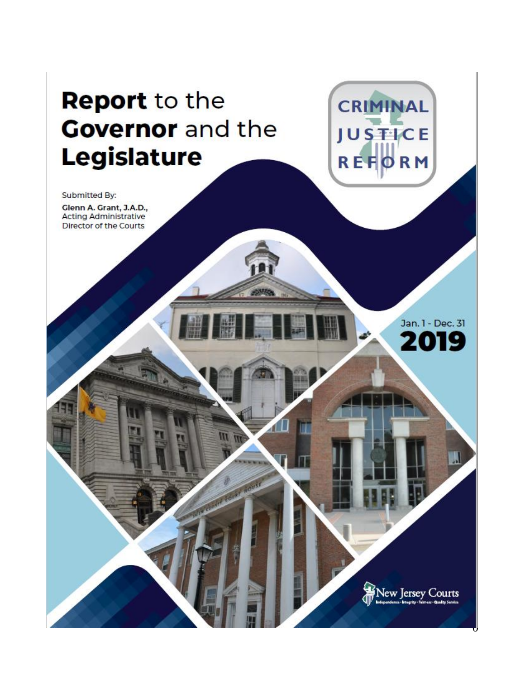# **Report to the Covernor** and the **Legislature**

Submitted By:

Glenn A. Grant, J.A.D., Acting Administrative Director of the Courts

> Jan. l - Dec. 31 **2019**

**CRIMINAL** 

**JUSTICE** 

REFORM

New Jersey Courts

 $\mathsf{U}$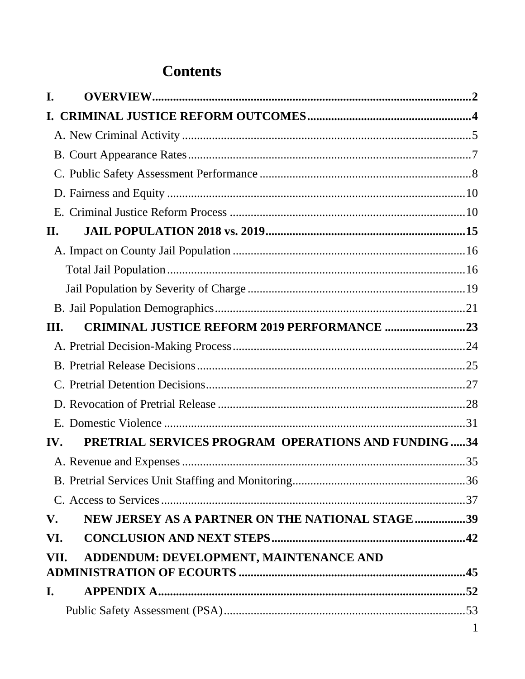## **Contents**

| I.   |                                                     |              |
|------|-----------------------------------------------------|--------------|
|      |                                                     |              |
|      |                                                     |              |
|      |                                                     |              |
|      |                                                     |              |
|      |                                                     |              |
|      |                                                     |              |
| II.  |                                                     |              |
|      |                                                     |              |
|      |                                                     |              |
|      |                                                     |              |
|      |                                                     |              |
| Ш.   | <b>CRIMINAL JUSTICE REFORM 2019 PERFORMANCE 23</b>  |              |
|      |                                                     |              |
|      |                                                     |              |
|      |                                                     |              |
|      |                                                     |              |
|      |                                                     |              |
| IV.  | PRETRIAL SERVICES PROGRAM OPERATIONS AND FUNDING 34 |              |
|      |                                                     |              |
|      |                                                     |              |
|      |                                                     |              |
| V.   | NEW JERSEY AS A PARTNER ON THE NATIONAL STAGE39     |              |
| VI.  |                                                     |              |
| VII. | ADDENDUM: DEVELOPMENT, MAINTENANCE AND              |              |
|      |                                                     |              |
| I.   |                                                     |              |
|      |                                                     |              |
|      |                                                     | $\mathbf{1}$ |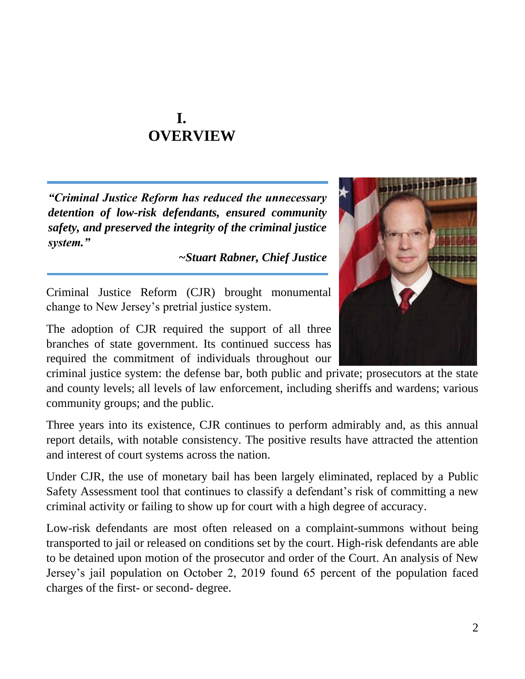## **I. OVERVIEW**

<span id="page-2-0"></span>*"Criminal Justice Reform has reduced the unnecessary detention of low-risk defendants, ensured community safety, and preserved the integrity of the criminal justice system."* 

*~Stuart Rabner, Chief Justice*

Criminal Justice Reform (CJR) brought monumental change to New Jersey's pretrial justice system.

The adoption of CJR required the support of all three branches of state government. Its continued success has required the commitment of individuals throughout our

criminal justice system: the defense bar, both public and private; prosecutors at the state and county levels; all levels of law enforcement, including sheriffs and wardens; various community groups; and the public.

Three years into its existence, CJR continues to perform admirably and, as this annual report details, with notable consistency. The positive results have attracted the attention and interest of court systems across the nation.

Under CJR, the use of monetary bail has been largely eliminated, replaced by a Public Safety Assessment tool that continues to classify a defendant's risk of committing a new criminal activity or failing to show up for court with a high degree of accuracy.

Low-risk defendants are most often released on a complaint-summons without being transported to jail or released on conditions set by the court. High-risk defendants are able to be detained upon motion of the prosecutor and order of the Court. An analysis of New Jersey's jail population on October 2, 2019 found 65 percent of the population faced charges of the first- or second- degree.

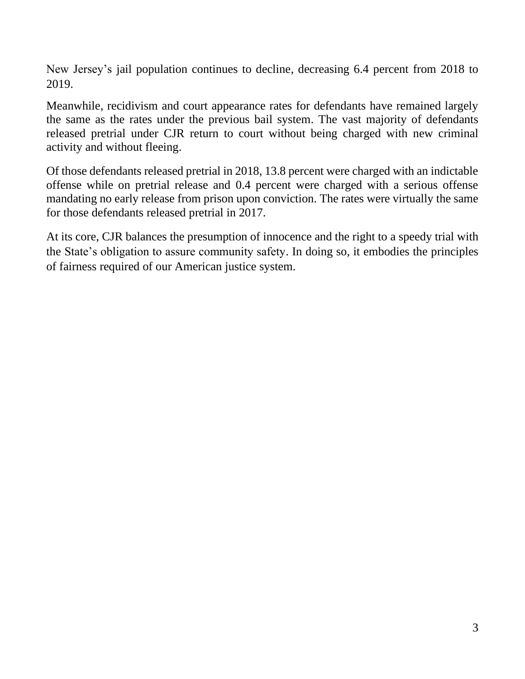New Jersey's jail population continues to decline, decreasing 6.4 percent from 2018 to 2019.

Meanwhile, recidivism and court appearance rates for defendants have remained largely the same as the rates under the previous bail system. The vast majority of defendants released pretrial under CJR return to court without being charged with new criminal activity and without fleeing.

Of those defendants released pretrial in 2018, 13.8 percent were charged with an indictable offense while on pretrial release and 0.4 percent were charged with a serious offense mandating no early release from prison upon conviction. The rates were virtually the same for those defendants released pretrial in 2017.

At its core, CJR balances the presumption of innocence and the right to a speedy trial with the State's obligation to assure community safety. In doing so, it embodies the principles of fairness required of our American justice system.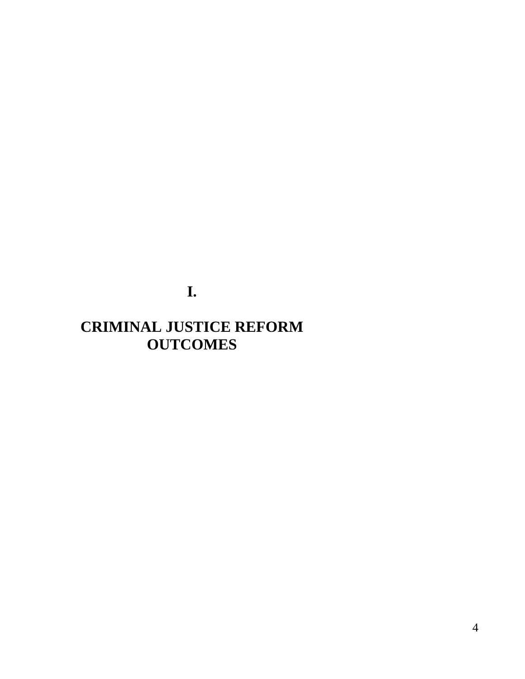**I.**

## <span id="page-4-0"></span>**CRIMINAL JUSTICE REFORM OUTCOMES**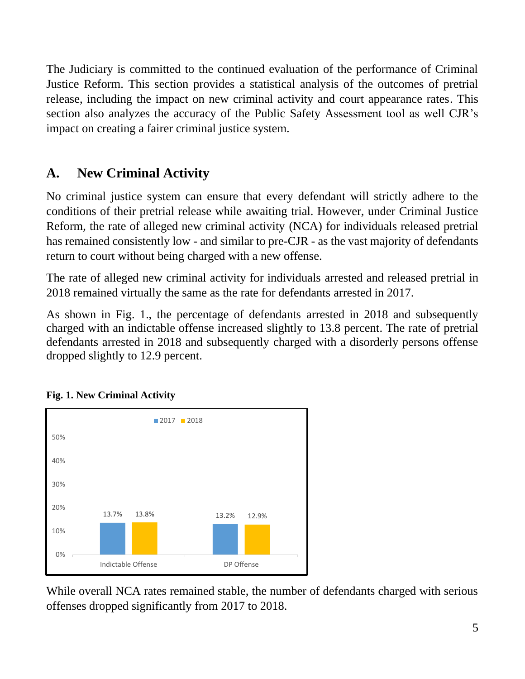The Judiciary is committed to the continued evaluation of the performance of Criminal Justice Reform. This section provides a statistical analysis of the outcomes of pretrial release, including the impact on new criminal activity and court appearance rates. This section also analyzes the accuracy of the Public Safety Assessment tool as well CJR's impact on creating a fairer criminal justice system.

## <span id="page-5-0"></span>**A. New Criminal Activity**

No criminal justice system can ensure that every defendant will strictly adhere to the conditions of their pretrial release while awaiting trial. However, under Criminal Justice Reform, the rate of alleged new criminal activity (NCA) for individuals released pretrial has remained consistently low - and similar to pre-CJR - as the vast majority of defendants return to court without being charged with a new offense.

The rate of alleged new criminal activity for individuals arrested and released pretrial in 2018 remained virtually the same as the rate for defendants arrested in 2017.

As shown in Fig. 1., the percentage of defendants arrested in 2018 and subsequently charged with an indictable offense increased slightly to 13.8 percent. The rate of pretrial defendants arrested in 2018 and subsequently charged with a disorderly persons offense dropped slightly to 12.9 percent.



#### **Fig. 1. New Criminal Activity**

While overall NCA rates remained stable, the number of defendants charged with serious offenses dropped significantly from 2017 to 2018.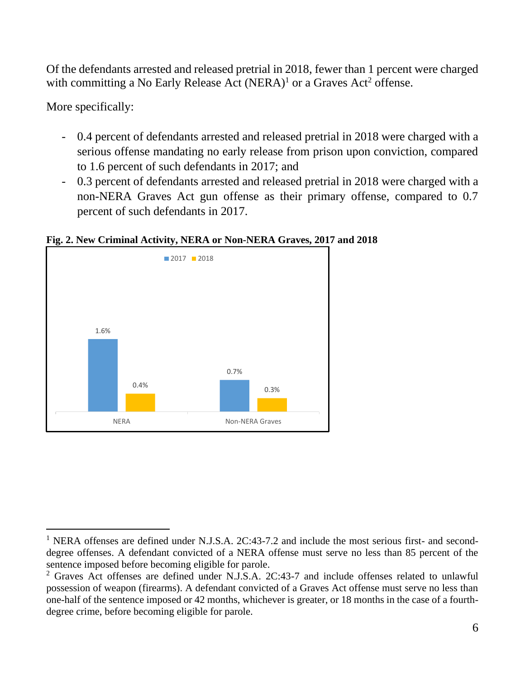Of the defendants arrested and released pretrial in 2018, fewer than 1 percent were charged with committing a No Early Release Act  $(NERA)^1$  or a Graves Act<sup>2</sup> offense.

More specifically:

- 0.4 percent of defendants arrested and released pretrial in 2018 were charged with a serious offense mandating no early release from prison upon conviction, compared to 1.6 percent of such defendants in 2017; and
- 0.3 percent of defendants arrested and released pretrial in 2018 were charged with a non-NERA Graves Act gun offense as their primary offense, compared to 0.7 percent of such defendants in 2017.

**Fig. 2. New Criminal Activity, NERA or Non-NERA Graves, 2017 and 2018**



<sup>&</sup>lt;sup>1</sup> NERA offenses are defined under N.J.S.A. 2C:43-7.2 and include the most serious first- and seconddegree offenses. A defendant convicted of a NERA offense must serve no less than 85 percent of the sentence imposed before becoming eligible for parole.

<sup>2</sup> Graves Act offenses are defined under N.J.S.A. 2C:43-7 and include offenses related to unlawful possession of weapon (firearms). A defendant convicted of a Graves Act offense must serve no less than one-half of the sentence imposed or 42 months, whichever is greater, or 18 months in the case of a fourthdegree crime, before becoming eligible for parole.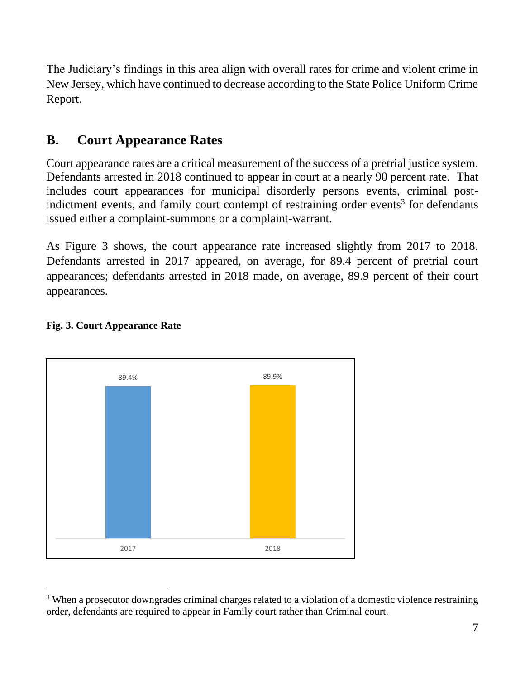The Judiciary's findings in this area align with overall rates for crime and violent crime in New Jersey, which have continued to decrease according to the State Police Uniform Crime Report.

## <span id="page-7-0"></span>**B. Court Appearance Rates**

Court appearance rates are a critical measurement of the success of a pretrial justice system. Defendants arrested in 2018 continued to appear in court at a nearly 90 percent rate. That includes court appearances for municipal disorderly persons events, criminal postindictment events, and family court contempt of restraining order events<sup>3</sup> for defendants issued either a complaint-summons or a complaint-warrant.

As Figure 3 shows, the court appearance rate increased slightly from 2017 to 2018. Defendants arrested in 2017 appeared, on average, for 89.4 percent of pretrial court appearances; defendants arrested in 2018 made, on average, 89.9 percent of their court appearances.



#### **Fig. 3. Court Appearance Rate**

<sup>&</sup>lt;sup>3</sup> When a prosecutor downgrades criminal charges related to a violation of a domestic violence restraining order, defendants are required to appear in Family court rather than Criminal court.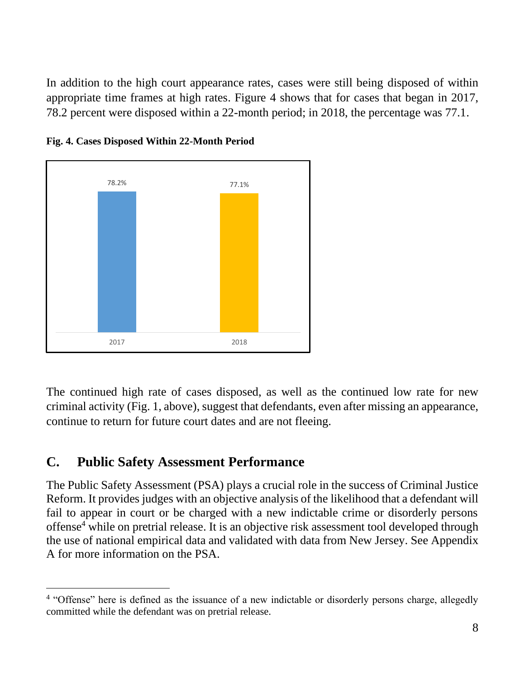In addition to the high court appearance rates, cases were still being disposed of within appropriate time frames at high rates. Figure 4 shows that for cases that began in 2017, 78.2 percent were disposed within a 22-month period; in 2018, the percentage was 77.1.





The continued high rate of cases disposed, as well as the continued low rate for new criminal activity (Fig. 1, above), suggest that defendants, even after missing an appearance, continue to return for future court dates and are not fleeing.

## <span id="page-8-0"></span>**C. Public Safety Assessment Performance**

The Public Safety Assessment (PSA) plays a crucial role in the success of Criminal Justice Reform. It provides judges with an objective analysis of the likelihood that a defendant will fail to appear in court or be charged with a new indictable crime or disorderly persons offense<sup>4</sup> while on pretrial release. It is an objective risk assessment tool developed through the use of national empirical data and validated with data from New Jersey. See Appendix A for more information on the PSA.

<sup>&</sup>lt;sup>4</sup> "Offense" here is defined as the issuance of a new indictable or disorderly persons charge, allegedly committed while the defendant was on pretrial release.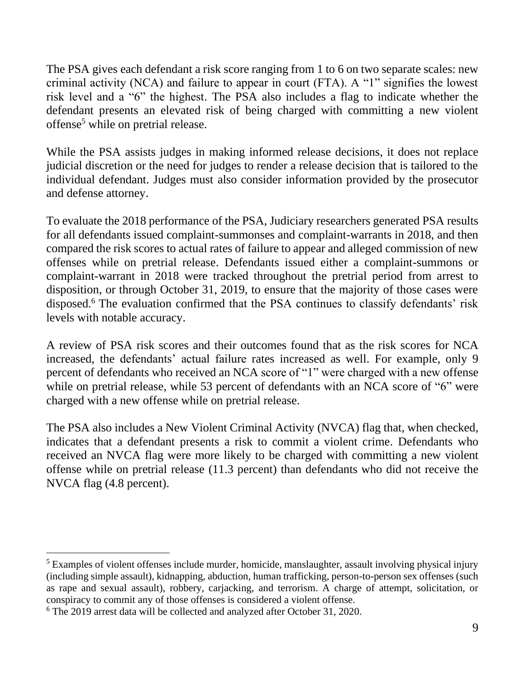The PSA gives each defendant a risk score ranging from 1 to 6 on two separate scales: new criminal activity (NCA) and failure to appear in court (FTA). A "1" signifies the lowest risk level and a "6" the highest. The PSA also includes a flag to indicate whether the defendant presents an elevated risk of being charged with committing a new violent offense<sup>5</sup> while on pretrial release.

While the PSA assists judges in making informed release decisions, it does not replace judicial discretion or the need for judges to render a release decision that is tailored to the individual defendant. Judges must also consider information provided by the prosecutor and defense attorney.

To evaluate the 2018 performance of the PSA, Judiciary researchers generated PSA results for all defendants issued complaint-summonses and complaint-warrants in 2018, and then compared the risk scores to actual rates of failure to appear and alleged commission of new offenses while on pretrial release. Defendants issued either a complaint-summons or complaint-warrant in 2018 were tracked throughout the pretrial period from arrest to disposition, or through October 31, 2019, to ensure that the majority of those cases were disposed.<sup>6</sup> The evaluation confirmed that the PSA continues to classify defendants' risk levels with notable accuracy.

A review of PSA risk scores and their outcomes found that as the risk scores for NCA increased, the defendants' actual failure rates increased as well. For example, only 9 percent of defendants who received an NCA score of "1" were charged with a new offense while on pretrial release, while 53 percent of defendants with an NCA score of "6" were charged with a new offense while on pretrial release.

The PSA also includes a New Violent Criminal Activity (NVCA) flag that, when checked, indicates that a defendant presents a risk to commit a violent crime. Defendants who received an NVCA flag were more likely to be charged with committing a new violent offense while on pretrial release (11.3 percent) than defendants who did not receive the NVCA flag (4.8 percent).

<sup>&</sup>lt;sup>5</sup> Examples of violent offenses include murder, homicide, manslaughter, assault involving physical injury (including simple assault), kidnapping, abduction, human trafficking, person-to-person sex offenses (such as rape and sexual assault), robbery, carjacking, and terrorism. A charge of attempt, solicitation, or conspiracy to commit any of those offenses is considered a violent offense.

<sup>6</sup> The 2019 arrest data will be collected and analyzed after October 31, 2020.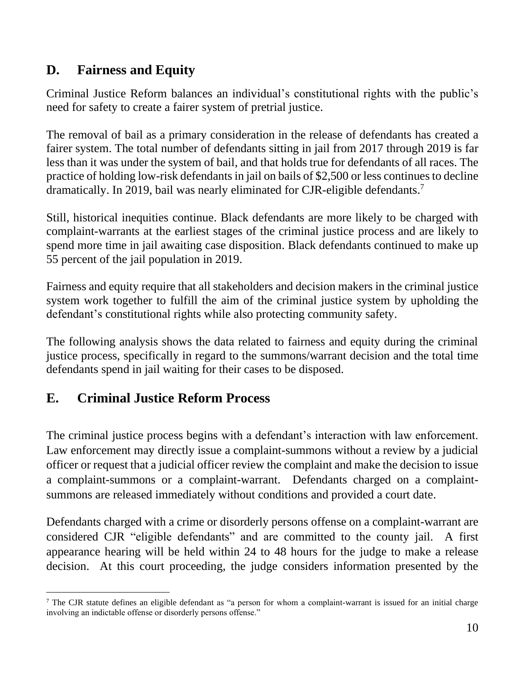## <span id="page-10-0"></span>**D. Fairness and Equity**

Criminal Justice Reform balances an individual's constitutional rights with the public's need for safety to create a fairer system of pretrial justice.

The removal of bail as a primary consideration in the release of defendants has created a fairer system. The total number of defendants sitting in jail from 2017 through 2019 is far less than it was under the system of bail, and that holds true for defendants of all races. The practice of holding low-risk defendants in jail on bails of \$2,500 or less continues to decline dramatically. In 2019, bail was nearly eliminated for CJR-eligible defendants.<sup>7</sup>

Still, historical inequities continue. Black defendants are more likely to be charged with complaint-warrants at the earliest stages of the criminal justice process and are likely to spend more time in jail awaiting case disposition. Black defendants continued to make up 55 percent of the jail population in 2019.

Fairness and equity require that all stakeholders and decision makers in the criminal justice system work together to fulfill the aim of the criminal justice system by upholding the defendant's constitutional rights while also protecting community safety.

The following analysis shows the data related to fairness and equity during the criminal justice process, specifically in regard to the summons/warrant decision and the total time defendants spend in jail waiting for their cases to be disposed.

## <span id="page-10-1"></span>**E. Criminal Justice Reform Process**

The criminal justice process begins with a defendant's interaction with law enforcement. Law enforcement may directly issue a complaint-summons without a review by a judicial officer or request that a judicial officer review the complaint and make the decision to issue a complaint-summons or a complaint-warrant. Defendants charged on a complaintsummons are released immediately without conditions and provided a court date.

Defendants charged with a crime or disorderly persons offense on a complaint-warrant are considered CJR "eligible defendants" and are committed to the county jail. A first appearance hearing will be held within 24 to 48 hours for the judge to make a release decision. At this court proceeding, the judge considers information presented by the

 $7$  The CJR statute defines an eligible defendant as "a person for whom a complaint-warrant is issued for an initial charge involving an indictable offense or disorderly persons offense."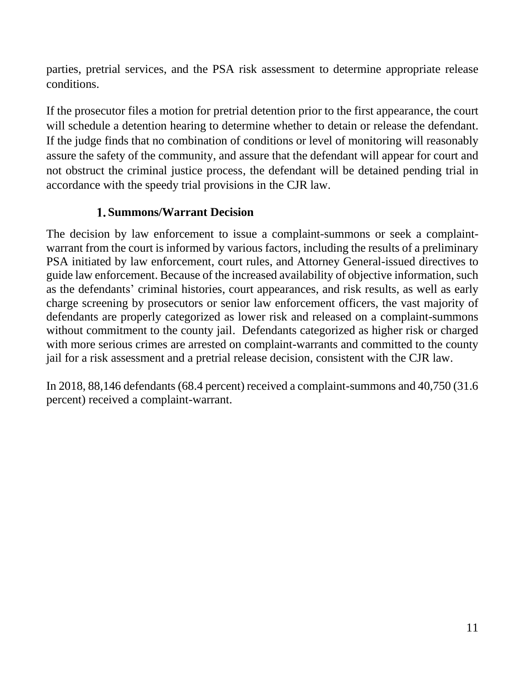parties, pretrial services, and the PSA risk assessment to determine appropriate release conditions.

If the prosecutor files a motion for pretrial detention prior to the first appearance, the court will schedule a detention hearing to determine whether to detain or release the defendant. If the judge finds that no combination of conditions or level of monitoring will reasonably assure the safety of the community, and assure that the defendant will appear for court and not obstruct the criminal justice process, the defendant will be detained pending trial in accordance with the speedy trial provisions in the CJR law.

## **Summons/Warrant Decision**

The decision by law enforcement to issue a complaint-summons or seek a complaintwarrant from the court is informed by various factors, including the results of a preliminary PSA initiated by law enforcement, court rules, and Attorney General-issued directives to guide law enforcement. Because of the increased availability of objective information, such as the defendants' criminal histories, court appearances, and risk results, as well as early charge screening by prosecutors or senior law enforcement officers, the vast majority of defendants are properly categorized as lower risk and released on a complaint-summons without commitment to the county jail. Defendants categorized as higher risk or charged with more serious crimes are arrested on complaint-warrants and committed to the county jail for a risk assessment and a pretrial release decision, consistent with the CJR law.

In 2018, 88,146 defendants (68.4 percent) received a complaint-summons and 40,750 (31.6 percent) received a complaint-warrant.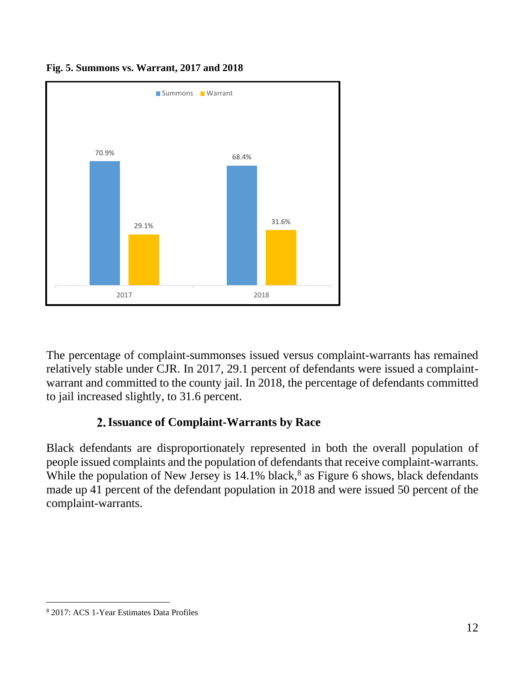

**Fig. 5. Summons vs. Warrant, 2017 and 2018**

The percentage of complaint-summonses issued versus complaint-warrants has remained relatively stable under CJR. In 2017, 29.1 percent of defendants were issued a complaintwarrant and committed to the county jail. In 2018, the percentage of defendants committed to jail increased slightly, to 31.6 percent.

## **Issuance of Complaint-Warrants by Race**

Black defendants are disproportionately represented in both the overall population of people issued complaints and the population of defendants that receive complaint-warrants. While the population of New Jersey is  $14.1\%$  black,<sup>8</sup> as Figure 6 shows, black defendants made up 41 percent of the defendant population in 2018 and were issued 50 percent of the complaint-warrants.

<sup>8</sup> 2017: ACS 1-Year Estimates Data Profiles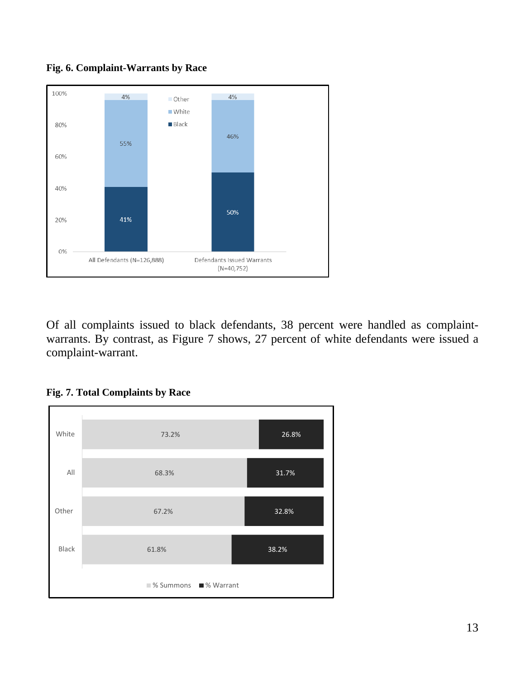

**Fig. 6. Complaint-Warrants by Race**

Of all complaints issued to black defendants, 38 percent were handled as complaintwarrants. By contrast, as Figure 7 shows, 27 percent of white defendants were issued a complaint-warrant.



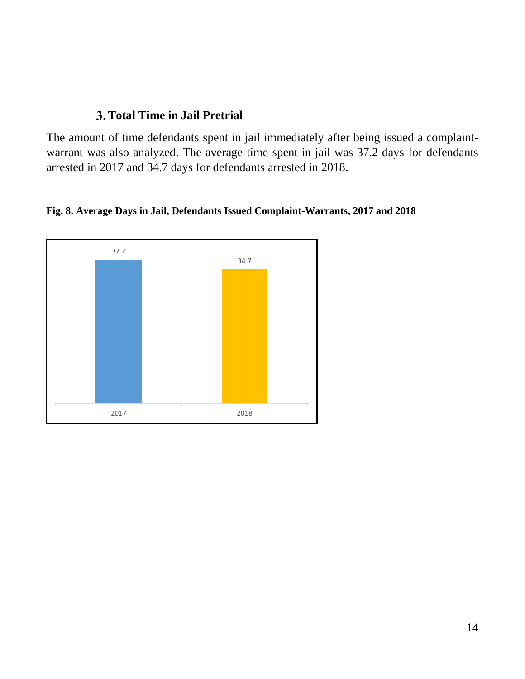### **Total Time in Jail Pretrial**

The amount of time defendants spent in jail immediately after being issued a complaintwarrant was also analyzed. The average time spent in jail was 37.2 days for defendants arrested in 2017 and 34.7 days for defendants arrested in 2018.

**Fig. 8. Average Days in Jail, Defendants Issued Complaint-Warrants, 2017 and 2018**

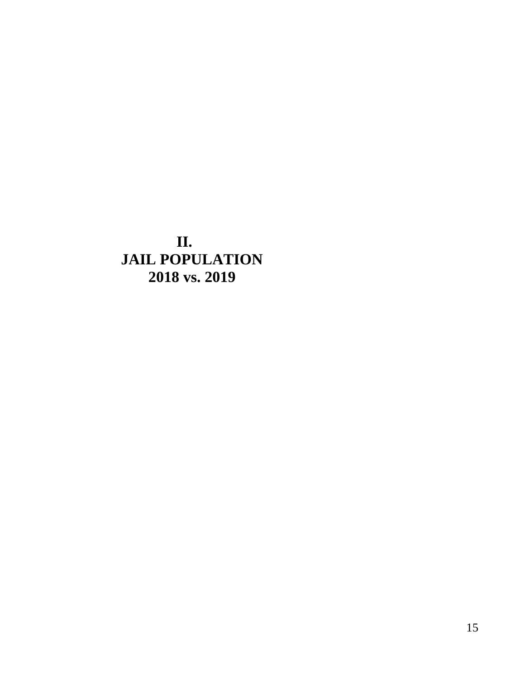<span id="page-15-0"></span>**II. JAIL POPULATION 2018 vs. 2019**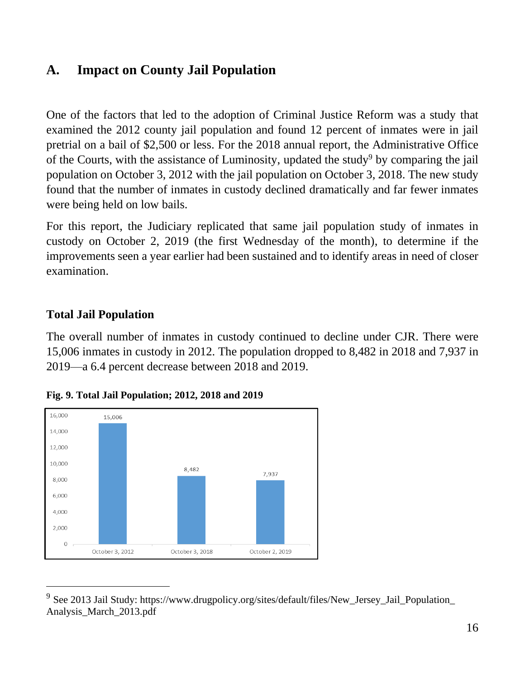## <span id="page-16-0"></span>**A. Impact on County Jail Population**

One of the factors that led to the adoption of Criminal Justice Reform was a study that examined the 2012 county jail population and found 12 percent of inmates were in jail pretrial on a bail of \$2,500 or less. For the 2018 annual report, the Administrative Office of the Courts, with the assistance of Luminosity, updated the study<sup>9</sup> by comparing the jail population on October 3, 2012 with the jail population on October 3, 2018. The new study found that the number of inmates in custody declined dramatically and far fewer inmates were being held on low bails.

For this report, the Judiciary replicated that same jail population study of inmates in custody on October 2, 2019 (the first Wednesday of the month), to determine if the improvements seen a year earlier had been sustained and to identify areas in need of closer examination.

## <span id="page-16-1"></span>**Total Jail Population**

The overall number of inmates in custody continued to decline under CJR. There were 15,006 inmates in custody in 2012. The population dropped to 8,482 in 2018 and 7,937 in 2019—a 6.4 percent decrease between 2018 and 2019.





<sup>&</sup>lt;sup>9</sup> See 2013 Jail Study: https://www.drugpolicy.org/sites/default/files/New\_Jersey\_Jail\_Population\_ Analysis\_March\_2013.pdf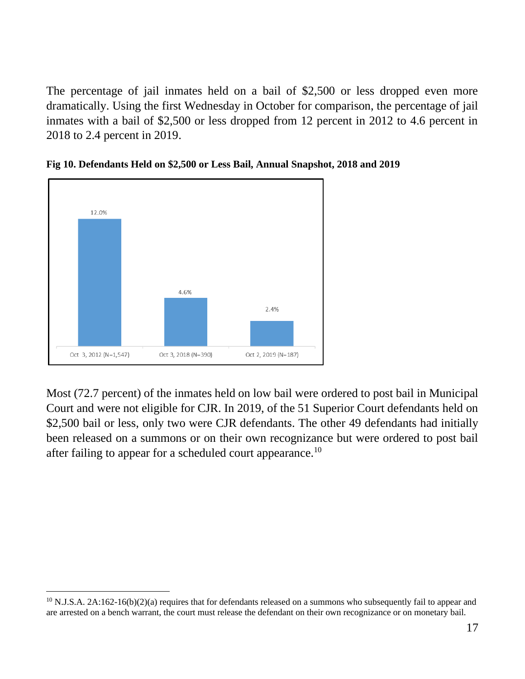The percentage of jail inmates held on a bail of \$2,500 or less dropped even more dramatically. Using the first Wednesday in October for comparison, the percentage of jail inmates with a bail of \$2,500 or less dropped from 12 percent in 2012 to 4.6 percent in 2018 to 2.4 percent in 2019.





Most (72.7 percent) of the inmates held on low bail were ordered to post bail in Municipal Court and were not eligible for CJR. In 2019, of the 51 Superior Court defendants held on \$2,500 bail or less, only two were CJR defendants. The other 49 defendants had initially been released on a summons or on their own recognizance but were ordered to post bail after failing to appear for a scheduled court appearance.<sup>10</sup>

 $10$  N.J.S.A. 2A:162-16(b)(2)(a) requires that for defendants released on a summons who subsequently fail to appear and are arrested on a bench warrant, the court must release the defendant on their own recognizance or on monetary bail.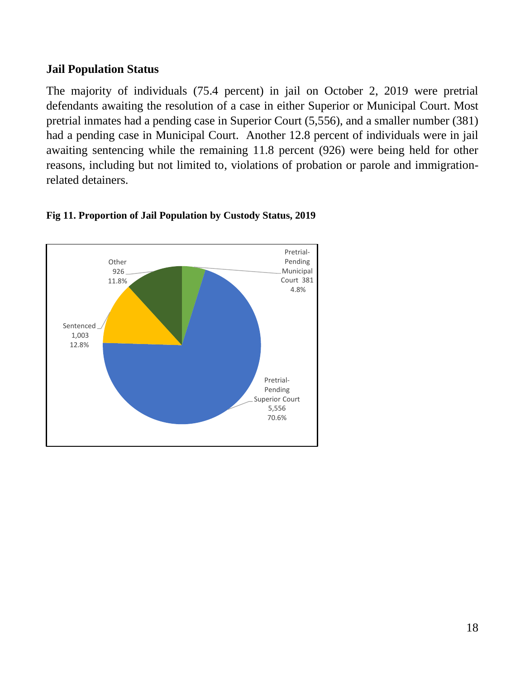#### **Jail Population Status**

The majority of individuals (75.4 percent) in jail on October 2, 2019 were pretrial defendants awaiting the resolution of a case in either Superior or Municipal Court. Most pretrial inmates had a pending case in Superior Court (5,556), and a smaller number (381) had a pending case in Municipal Court. Another 12.8 percent of individuals were in jail awaiting sentencing while the remaining 11.8 percent (926) were being held for other reasons, including but not limited to, violations of probation or parole and immigrationrelated detainers.



#### **Fig 11. Proportion of Jail Population by Custody Status, 2019**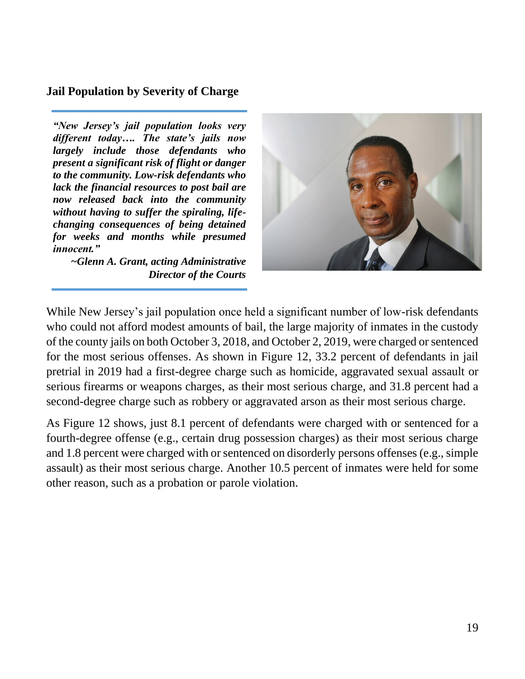#### <span id="page-19-0"></span>**Jail Population by Severity of Charge**

*"New Jersey's jail population looks very different today…. The state's jails now largely include those defendants who present a significant risk of flight or danger to the community. Low-risk defendants who lack the financial resources to post bail are now released back into the community without having to suffer the spiraling, lifechanging consequences of being detained for weeks and months while presumed innocent."* 

*~Glenn A. Grant, acting Administrative Director of the Courts* 



While New Jersey's jail population once held a significant number of low-risk defendants who could not afford modest amounts of bail, the large majority of inmates in the custody of the county jails on both October 3, 2018, and October 2, 2019, were charged or sentenced for the most serious offenses. As shown in Figure 12, 33.2 percent of defendants in jail pretrial in 2019 had a first-degree charge such as homicide, aggravated sexual assault or serious firearms or weapons charges, as their most serious charge, and 31.8 percent had a second-degree charge such as robbery or aggravated arson as their most serious charge.

As Figure 12 shows, just 8.1 percent of defendants were charged with or sentenced for a fourth-degree offense (e.g., certain drug possession charges) as their most serious charge and 1.8 percent were charged with or sentenced on disorderly persons offenses (e.g., simple assault) as their most serious charge. Another 10.5 percent of inmates were held for some other reason, such as a probation or parole violation.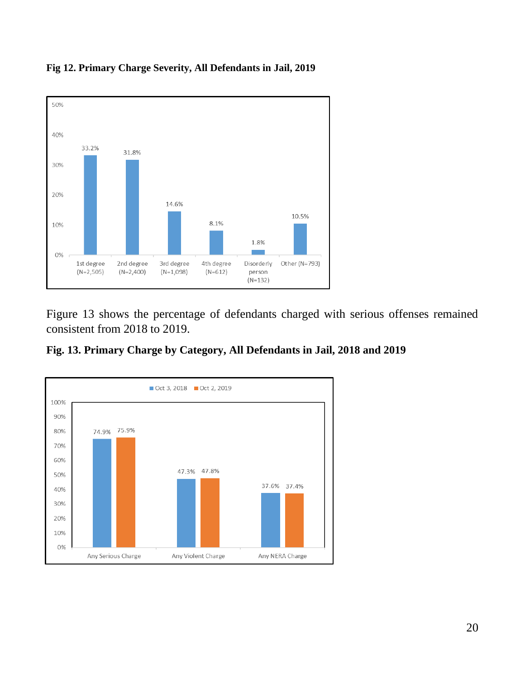

**Fig 12. Primary Charge Severity, All Defendants in Jail, 2019**

Figure 13 shows the percentage of defendants charged with serious offenses remained consistent from 2018 to 2019.



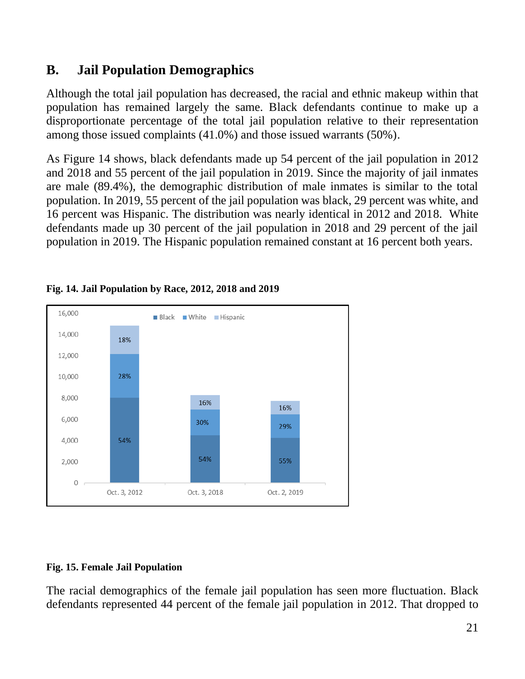## <span id="page-21-0"></span>**B. Jail Population Demographics**

Although the total jail population has decreased, the racial and ethnic makeup within that population has remained largely the same. Black defendants continue to make up a disproportionate percentage of the total jail population relative to their representation among those issued complaints (41.0%) and those issued warrants (50%).

As Figure 14 shows, black defendants made up 54 percent of the jail population in 2012 and 2018 and 55 percent of the jail population in 2019. Since the majority of jail inmates are male (89.4%), the demographic distribution of male inmates is similar to the total population. In 2019, 55 percent of the jail population was black, 29 percent was white, and 16 percent was Hispanic. The distribution was nearly identical in 2012 and 2018. White defendants made up 30 percent of the jail population in 2018 and 29 percent of the jail population in 2019. The Hispanic population remained constant at 16 percent both years.



#### **Fig. 14. Jail Population by Race, 2012, 2018 and 2019**

#### **Fig. 15. Female Jail Population**

The racial demographics of the female jail population has seen more fluctuation. Black defendants represented 44 percent of the female jail population in 2012. That dropped to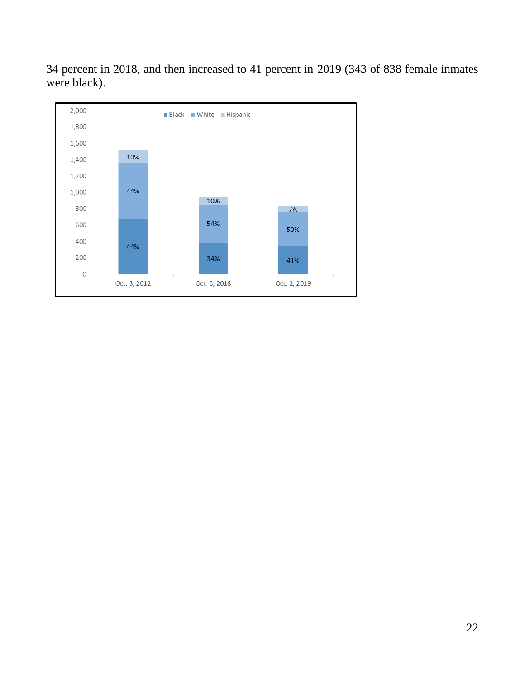

34 percent in 2018, and then increased to 41 percent in 2019 (343 of 838 female inmates were black).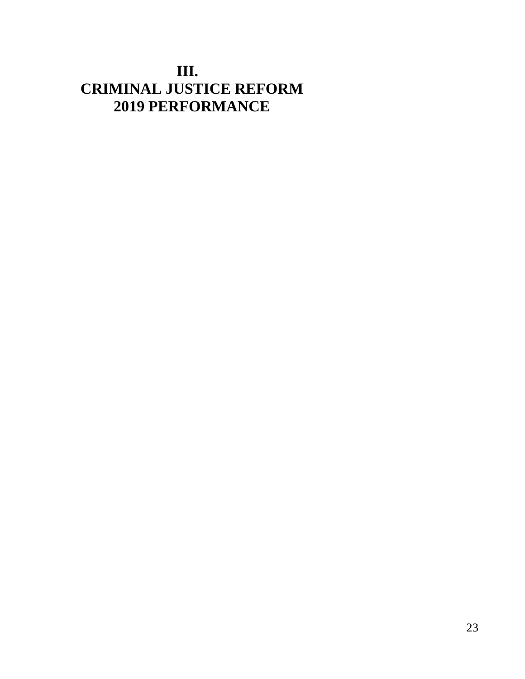## <span id="page-23-0"></span>**III. CRIMINAL JUSTICE REFORM 2019 PERFORMANCE**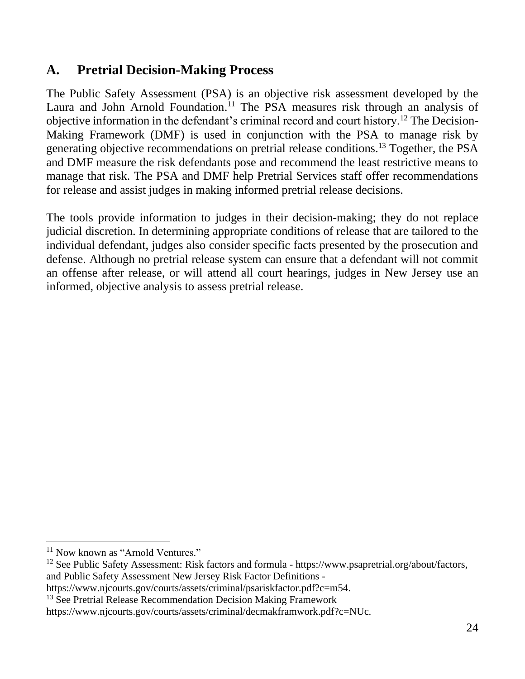## <span id="page-24-0"></span>**A. Pretrial Decision-Making Process**

The Public Safety Assessment (PSA) is an objective risk assessment developed by the Laura and John Arnold Foundation.<sup>11</sup> The PSA measures risk through an analysis of objective information in the defendant's criminal record and court history.<sup>12</sup> The Decision-Making Framework (DMF) is used in conjunction with the PSA to manage risk by generating objective recommendations on pretrial release conditions. <sup>13</sup> Together, the PSA and DMF measure the risk defendants pose and recommend the least restrictive means to manage that risk. The PSA and DMF help Pretrial Services staff offer recommendations for release and assist judges in making informed pretrial release decisions.

The tools provide information to judges in their decision-making; they do not replace judicial discretion. In determining appropriate conditions of release that are tailored to the individual defendant, judges also consider specific facts presented by the prosecution and defense. Although no pretrial release system can ensure that a defendant will not commit an offense after release, or will attend all court hearings, judges in New Jersey use an informed, objective analysis to assess pretrial release.

<sup>&</sup>lt;sup>11</sup> Now known as "Arnold Ventures."

<sup>&</sup>lt;sup>12</sup> See Public Safety Assessment: Risk factors and formula - https://www.psapretrial.org/about/factors, and Public Safety Assessment New Jersey Risk Factor Definitions -

https://www.njcourts.gov/courts/assets/criminal/psariskfactor.pdf?c=m54.

<sup>&</sup>lt;sup>13</sup> See Pretrial Release Recommendation Decision Making Framework

https://www.njcourts.gov/courts/assets/criminal/decmakframwork.pdf?c=NUc.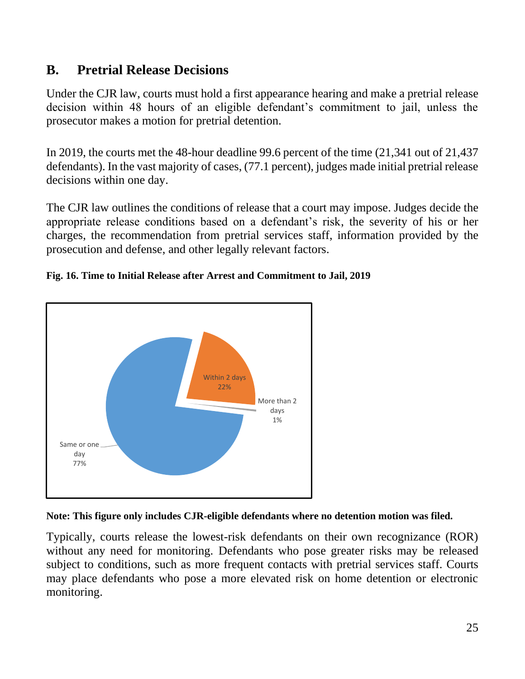## <span id="page-25-0"></span>**B. Pretrial Release Decisions**

Under the CJR law, courts must hold a first appearance hearing and make a pretrial release decision within 48 hours of an eligible defendant's commitment to jail, unless the prosecutor makes a motion for pretrial detention.

In 2019, the courts met the 48-hour deadline 99.6 percent of the time (21,341 out of 21,437 defendants). In the vast majority of cases, (77.1 percent), judges made initial pretrial release decisions within one day.

The CJR law outlines the conditions of release that a court may impose. Judges decide the appropriate release conditions based on a defendant's risk, the severity of his or her charges, the recommendation from pretrial services staff, information provided by the prosecution and defense, and other legally relevant factors.



#### **Fig. 16. Time to Initial Release after Arrest and Commitment to Jail, 2019**



Typically, courts release the lowest-risk defendants on their own recognizance (ROR) without any need for monitoring. Defendants who pose greater risks may be released subject to conditions, such as more frequent contacts with pretrial services staff. Courts may place defendants who pose a more elevated risk on home detention or electronic monitoring.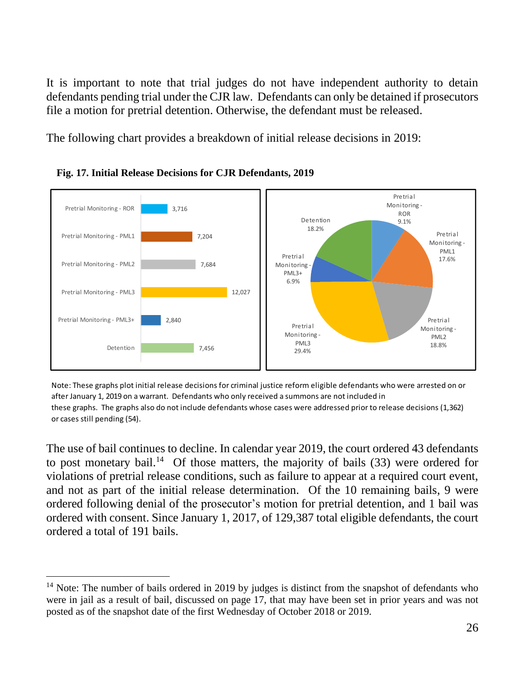It is important to note that trial judges do not have independent authority to detain defendants pending trial under the CJR law. Defendants can only be detained if prosecutors file a motion for pretrial detention. Otherwise, the defendant must be released.

The following chart provides a breakdown of initial release decisions in 2019:





 Note: These graphs plot initial release decisions for criminal justice reform eligible defendants who were arrested on or after January 1, 2019 on a warrant. Defendants who only received a summons are not included in these graphs. The graphs also do not include defendants whose cases were addressed prior to release decisions (1,362) or cases still pending (54).

The use of bail continues to decline. In calendar year 2019, the court ordered 43 defendants to post monetary bail.<sup>14</sup> Of those matters, the majority of bails  $(33)$  were ordered for violations of pretrial release conditions, such as failure to appear at a required court event, and not as part of the initial release determination. Of the 10 remaining bails, 9 were ordered following denial of the prosecutor's motion for pretrial detention, and 1 bail was ordered with consent. Since January 1, 2017, of 129,387 total eligible defendants, the court ordered a total of 191 bails.

<sup>&</sup>lt;sup>14</sup> Note: The number of bails ordered in 2019 by judges is distinct from the snapshot of defendants who were in jail as a result of bail, discussed on page 17, that may have been set in prior years and was not posted as of the snapshot date of the first Wednesday of October 2018 or 2019.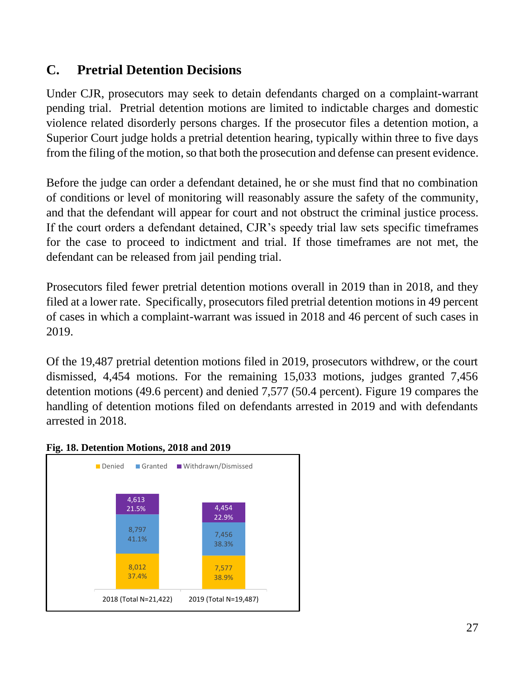## <span id="page-27-0"></span>**C. Pretrial Detention Decisions**

Under CJR, prosecutors may seek to detain defendants charged on a complaint-warrant pending trial. Pretrial detention motions are limited to indictable charges and domestic violence related disorderly persons charges. If the prosecutor files a detention motion, a Superior Court judge holds a pretrial detention hearing, typically within three to five days from the filing of the motion, so that both the prosecution and defense can present evidence.

Before the judge can order a defendant detained, he or she must find that no combination of conditions or level of monitoring will reasonably assure the safety of the community, and that the defendant will appear for court and not obstruct the criminal justice process. If the court orders a defendant detained, CJR's speedy trial law sets specific timeframes for the case to proceed to indictment and trial. If those timeframes are not met, the defendant can be released from jail pending trial.

Prosecutors filed fewer pretrial detention motions overall in 2019 than in 2018, and they filed at a lower rate. Specifically, prosecutors filed pretrial detention motions in 49 percent of cases in which a complaint-warrant was issued in 2018 and 46 percent of such cases in 2019.

Of the 19,487 pretrial detention motions filed in 2019, prosecutors withdrew, or the court dismissed, 4,454 motions. For the remaining 15,033 motions, judges granted 7,456 detention motions (49.6 percent) and denied 7,577 (50.4 percent). Figure 19 compares the handling of detention motions filed on defendants arrested in 2019 and with defendants arrested in 2018.



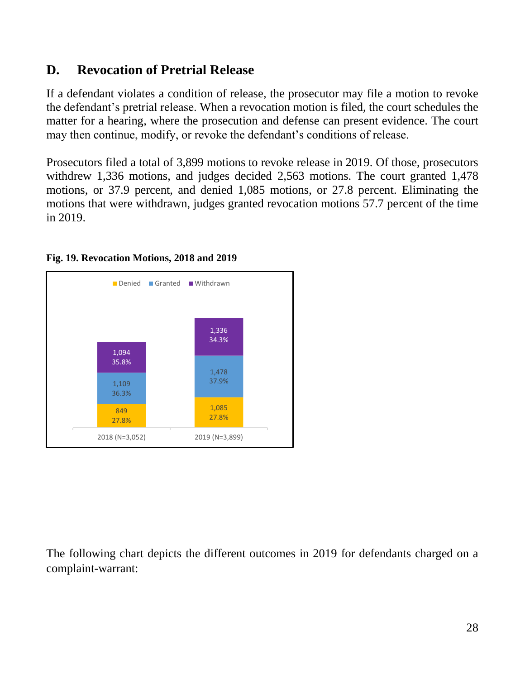## <span id="page-28-0"></span>**D. Revocation of Pretrial Release**

If a defendant violates a condition of release, the prosecutor may file a motion to revoke the defendant's pretrial release. When a revocation motion is filed, the court schedules the matter for a hearing, where the prosecution and defense can present evidence. The court may then continue, modify, or revoke the defendant's conditions of release.

Prosecutors filed a total of 3,899 motions to revoke release in 2019. Of those, prosecutors withdrew 1,336 motions, and judges decided 2,563 motions. The court granted 1,478 motions, or 37.9 percent, and denied 1,085 motions, or 27.8 percent. Eliminating the motions that were withdrawn, judges granted revocation motions 57.7 percent of the time in 2019.



#### **Fig. 19. Revocation Motions, 2018 and 2019**

The following chart depicts the different outcomes in 2019 for defendants charged on a complaint-warrant: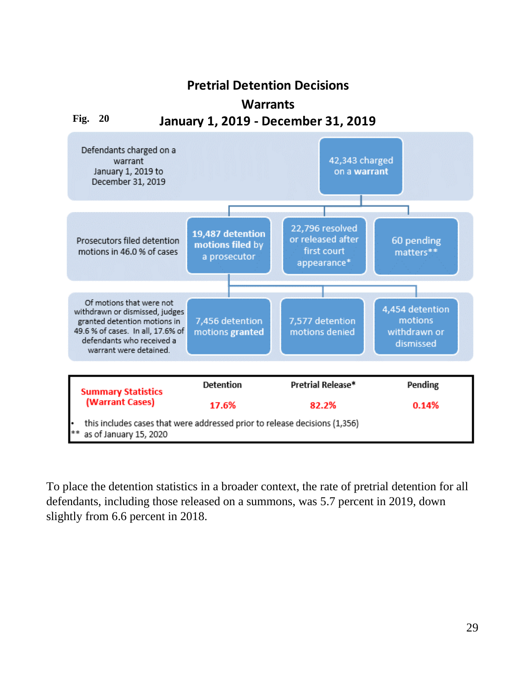### **Pretrial Detention Decisions**

#### **Warrants**

#### **Fig. 20 January 1, 2019 - December 31, 2019**



To place the detention statistics in a broader context, the rate of pretrial detention for all defendants, including those released on a summons, was 5.7 percent in 2019, down slightly from 6.6 percent in 2018.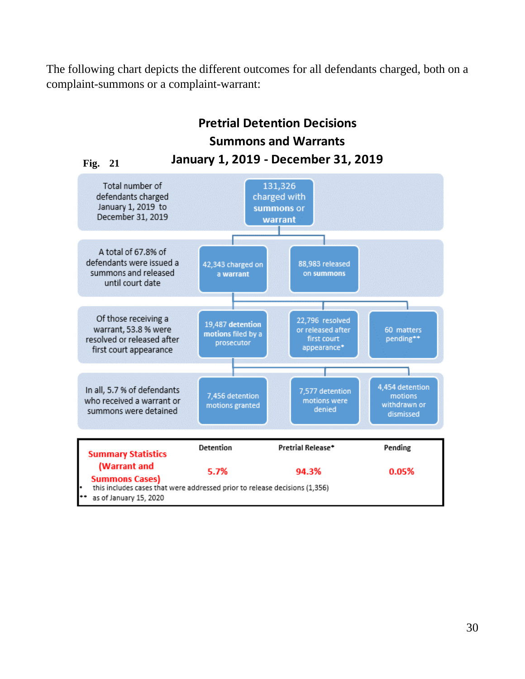The following chart depicts the different outcomes for all defendants charged, both on a complaint-summons or a complaint-warrant:

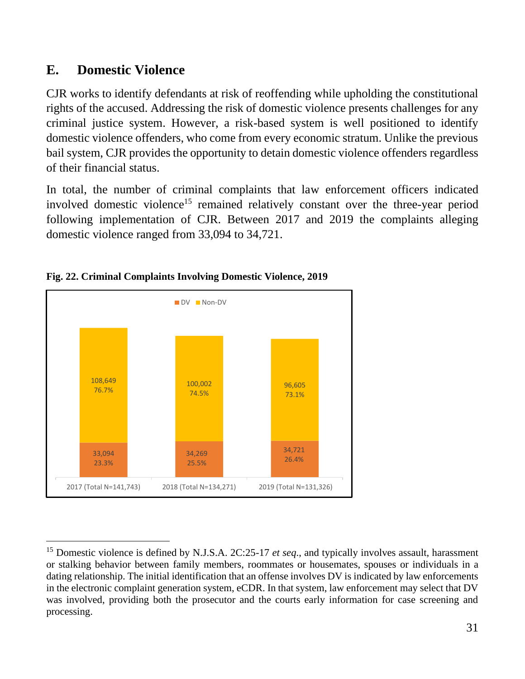## <span id="page-31-0"></span>**E. Domestic Violence**

CJR works to identify defendants at risk of reoffending while upholding the constitutional rights of the accused. Addressing the risk of domestic violence presents challenges for any criminal justice system. However, a risk-based system is well positioned to identify domestic violence offenders, who come from every economic stratum. Unlike the previous bail system, CJR provides the opportunity to detain domestic violence offenders regardless of their financial status.

In total, the number of criminal complaints that law enforcement officers indicated involved domestic violence<sup>15</sup> remained relatively constant over the three-year period following implementation of CJR. Between 2017 and 2019 the complaints alleging domestic violence ranged from 33,094 to 34,721.



#### **Fig. 22. Criminal Complaints Involving Domestic Violence, 2019**

<sup>15</sup> Domestic violence is defined by N.J.S.A. 2C:25-17 *et seq*., and typically involves assault, harassment or stalking behavior between family members, roommates or housemates, spouses or individuals in a dating relationship. The initial identification that an offense involves DV is indicated by law enforcements in the electronic complaint generation system, eCDR. In that system, law enforcement may select that DV was involved, providing both the prosecutor and the courts early information for case screening and processing.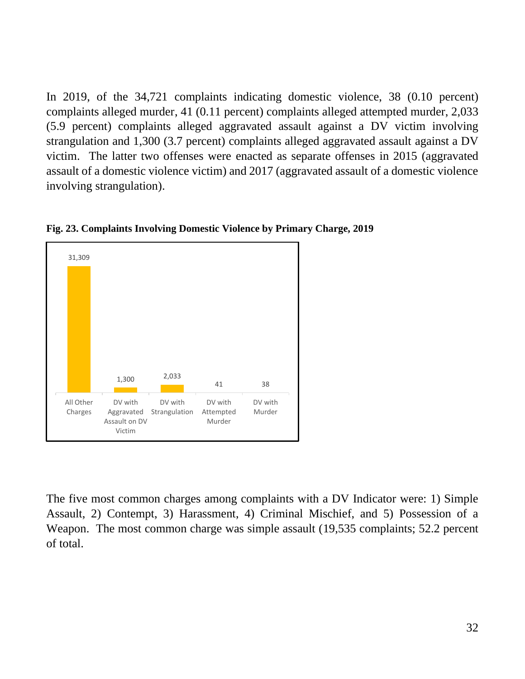In 2019, of the 34,721 complaints indicating domestic violence, 38 (0.10 percent) complaints alleged murder, 41 (0.11 percent) complaints alleged attempted murder, 2,033 (5.9 percent) complaints alleged aggravated assault against a DV victim involving strangulation and 1,300 (3.7 percent) complaints alleged aggravated assault against a DV victim. The latter two offenses were enacted as separate offenses in 2015 (aggravated assault of a domestic violence victim) and 2017 (aggravated assault of a domestic violence involving strangulation).



**Fig. 23. Complaints Involving Domestic Violence by Primary Charge, 2019**

The five most common charges among complaints with a DV Indicator were: 1) Simple Assault, 2) Contempt, 3) Harassment, 4) Criminal Mischief, and 5) Possession of a Weapon. The most common charge was simple assault (19,535 complaints; 52.2 percent of total.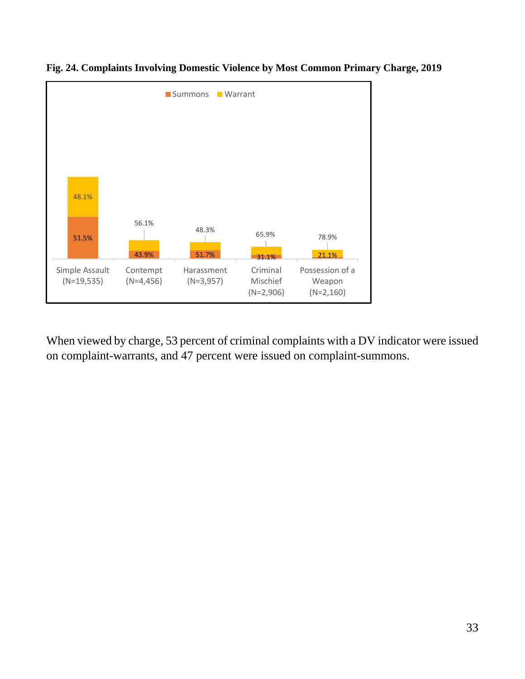

**Fig. 24. Complaints Involving Domestic Violence by Most Common Primary Charge, 2019**

When viewed by charge, 53 percent of criminal complaints with a DV indicator were issued on complaint-warrants, and 47 percent were issued on complaint-summons.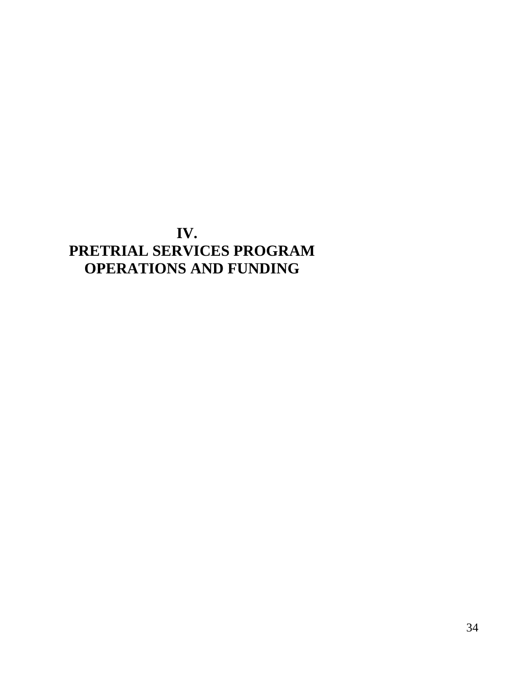## <span id="page-34-0"></span>**IV. PRETRIAL SERVICES PROGRAM OPERATIONS AND FUNDING**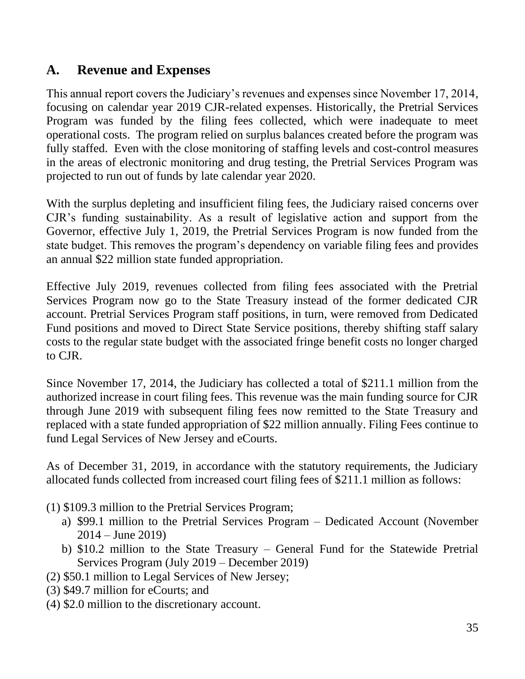## <span id="page-35-0"></span>**A. Revenue and Expenses**

This annual report covers the Judiciary's revenues and expenses since November 17, 2014, focusing on calendar year 2019 CJR-related expenses. Historically, the Pretrial Services Program was funded by the filing fees collected, which were inadequate to meet operational costs. The program relied on surplus balances created before the program was fully staffed. Even with the close monitoring of staffing levels and cost-control measures in the areas of electronic monitoring and drug testing, the Pretrial Services Program was projected to run out of funds by late calendar year 2020.

With the surplus depleting and insufficient filing fees, the Judiciary raised concerns over CJR's funding sustainability. As a result of legislative action and support from the Governor, effective July 1, 2019, the Pretrial Services Program is now funded from the state budget. This removes the program's dependency on variable filing fees and provides an annual \$22 million state funded appropriation.

Effective July 2019, revenues collected from filing fees associated with the Pretrial Services Program now go to the State Treasury instead of the former dedicated CJR account. Pretrial Services Program staff positions, in turn, were removed from Dedicated Fund positions and moved to Direct State Service positions, thereby shifting staff salary costs to the regular state budget with the associated fringe benefit costs no longer charged to CJR.

Since November 17, 2014, the Judiciary has collected a total of \$211.1 million from the authorized increase in court filing fees. This revenue was the main funding source for CJR through June 2019 with subsequent filing fees now remitted to the State Treasury and replaced with a state funded appropriation of \$22 million annually. Filing Fees continue to fund Legal Services of New Jersey and eCourts.

As of December 31, 2019, in accordance with the statutory requirements, the Judiciary allocated funds collected from increased court filing fees of \$211.1 million as follows:

(1) \$109.3 million to the Pretrial Services Program;

- a) \$99.1 million to the Pretrial Services Program Dedicated Account (November  $2014 - \text{June } 2019$
- b) \$10.2 million to the State Treasury General Fund for the Statewide Pretrial Services Program (July 2019 – December 2019)
- (2) \$50.1 million to Legal Services of New Jersey;
- (3) \$49.7 million for eCourts; and
- (4) \$2.0 million to the discretionary account.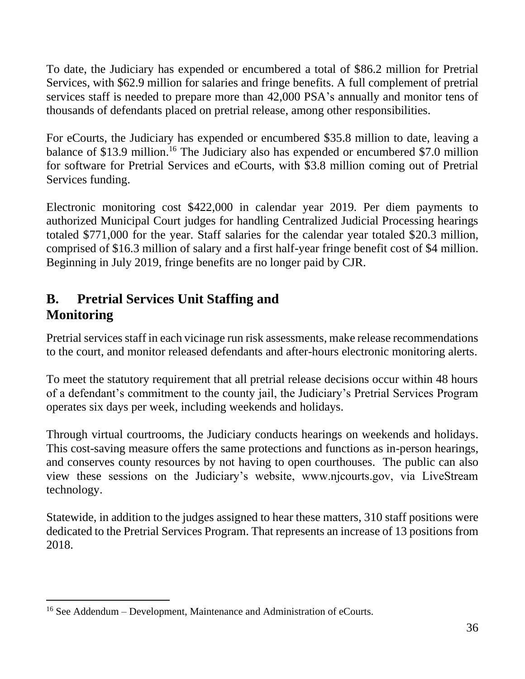To date, the Judiciary has expended or encumbered a total of \$86.2 million for Pretrial Services, with \$62.9 million for salaries and fringe benefits. A full complement of pretrial services staff is needed to prepare more than 42,000 PSA's annually and monitor tens of thousands of defendants placed on pretrial release, among other responsibilities.

For eCourts, the Judiciary has expended or encumbered \$35.8 million to date, leaving a balance of \$13.9 million.<sup>16</sup> The Judiciary also has expended or encumbered \$7.0 million for software for Pretrial Services and eCourts, with \$3.8 million coming out of Pretrial Services funding.

Electronic monitoring cost \$422,000 in calendar year 2019. Per diem payments to authorized Municipal Court judges for handling Centralized Judicial Processing hearings totaled \$771,000 for the year. Staff salaries for the calendar year totaled \$20.3 million, comprised of \$16.3 million of salary and a first half-year fringe benefit cost of \$4 million. Beginning in July 2019, fringe benefits are no longer paid by CJR.

## <span id="page-36-0"></span>**B. Pretrial Services Unit Staffing and Monitoring**

Pretrial services staff in each vicinage run risk assessments, make release recommendations to the court, and monitor released defendants and after-hours electronic monitoring alerts.

To meet the statutory requirement that all pretrial release decisions occur within 48 hours of a defendant's commitment to the county jail, the Judiciary's Pretrial Services Program operates six days per week, including weekends and holidays.

Through virtual courtrooms, the Judiciary conducts hearings on weekends and holidays. This cost-saving measure offers the same protections and functions as in-person hearings, and conserves county resources by not having to open courthouses. The public can also view these sessions on the Judiciary's website, www.njcourts.gov, via LiveStream technology.

Statewide, in addition to the judges assigned to hear these matters, 310 staff positions were dedicated to the Pretrial Services Program. That represents an increase of 13 positions from 2018.

<sup>&</sup>lt;sup>16</sup> See Addendum – Development, Maintenance and Administration of eCourts.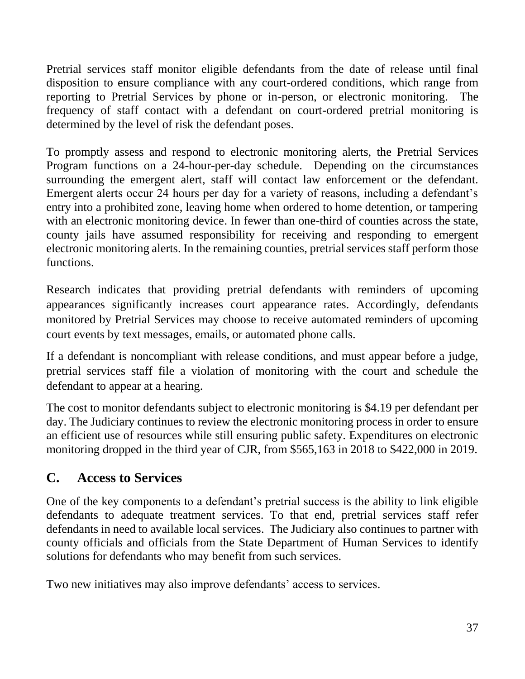Pretrial services staff monitor eligible defendants from the date of release until final disposition to ensure compliance with any court-ordered conditions, which range from reporting to Pretrial Services by phone or in-person, or electronic monitoring. The frequency of staff contact with a defendant on court-ordered pretrial monitoring is determined by the level of risk the defendant poses.

To promptly assess and respond to electronic monitoring alerts, the Pretrial Services Program functions on a 24-hour-per-day schedule. Depending on the circumstances surrounding the emergent alert, staff will contact law enforcement or the defendant. Emergent alerts occur 24 hours per day for a variety of reasons, including a defendant's entry into a prohibited zone, leaving home when ordered to home detention, or tampering with an electronic monitoring device. In fewer than one-third of counties across the state, county jails have assumed responsibility for receiving and responding to emergent electronic monitoring alerts. In the remaining counties, pretrial services staff perform those functions.

Research indicates that providing pretrial defendants with reminders of upcoming appearances significantly increases court appearance rates. Accordingly, defendants monitored by Pretrial Services may choose to receive automated reminders of upcoming court events by text messages, emails, or automated phone calls.

If a defendant is noncompliant with release conditions, and must appear before a judge, pretrial services staff file a violation of monitoring with the court and schedule the defendant to appear at a hearing.

The cost to monitor defendants subject to electronic monitoring is \$4.19 per defendant per day. The Judiciary continues to review the electronic monitoring process in order to ensure an efficient use of resources while still ensuring public safety. Expenditures on electronic monitoring dropped in the third year of CJR, from \$565,163 in 2018 to \$422,000 in 2019.

## <span id="page-37-0"></span>**C. Access to Services**

One of the key components to a defendant's pretrial success is the ability to link eligible defendants to adequate treatment services. To that end, pretrial services staff refer defendants in need to available local services. The Judiciary also continues to partner with county officials and officials from the State Department of Human Services to identify solutions for defendants who may benefit from such services.

Two new initiatives may also improve defendants' access to services.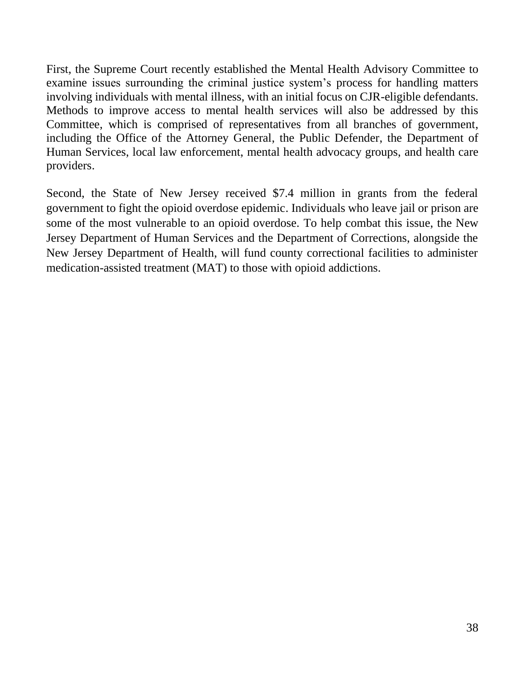First, the Supreme Court recently established the Mental Health Advisory Committee to examine issues surrounding the criminal justice system's process for handling matters involving individuals with mental illness, with an initial focus on CJR-eligible defendants. Methods to improve access to mental health services will also be addressed by this Committee, which is comprised of representatives from all branches of government, including the Office of the Attorney General, the Public Defender, the Department of Human Services, local law enforcement, mental health advocacy groups, and health care providers.

Second, the State of New Jersey received \$7.4 million in grants from the federal government to fight the opioid overdose epidemic. Individuals who leave jail or prison are some of the most vulnerable to an opioid overdose. To help combat this issue, the New Jersey Department of Human Services and the Department of Corrections, alongside the New Jersey Department of Health, will fund county correctional facilities to administer medication-assisted treatment (MAT) to those with opioid addictions.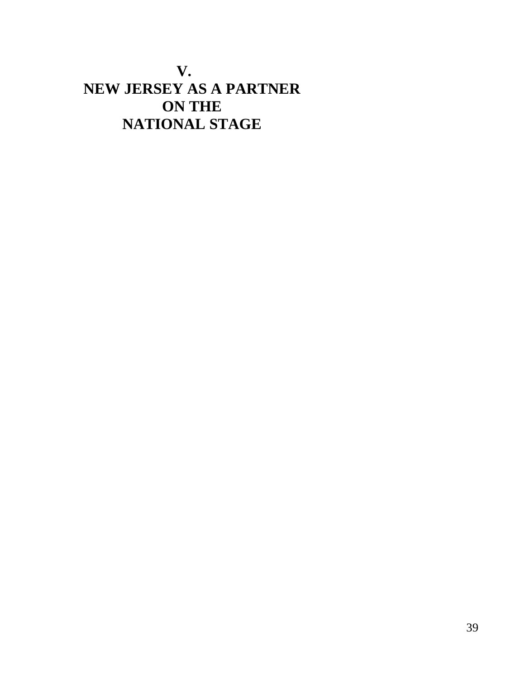## <span id="page-39-0"></span>**V. NEW JERSEY AS A PARTNER ON THE NATIONAL STAGE**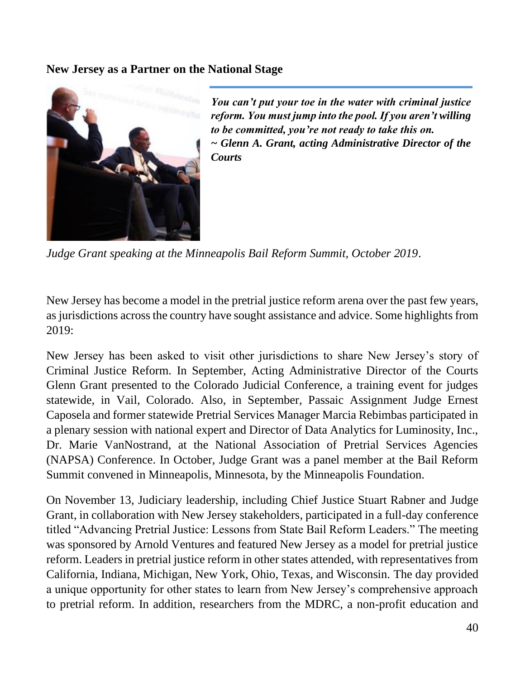#### **New Jersey as a Partner on the National Stage**



*You can't put your toe in the water with criminal justice reform. You must jump into the pool. If you aren't willing to be committed, you're not ready to take this on. ~ Glenn A. Grant, acting Administrative Director of the Courts*

*Judge Grant speaking at the Minneapolis Bail Reform Summit, October 2019*.

New Jersey has become a model in the pretrial justice reform arena over the past few years, as jurisdictions across the country have sought assistance and advice. Some highlights from 2019:

New Jersey has been asked to visit other jurisdictions to share New Jersey's story of Criminal Justice Reform. In September, Acting Administrative Director of the Courts Glenn Grant presented to the Colorado Judicial Conference, a training event for judges statewide, in Vail, Colorado. Also, in September, Passaic Assignment Judge Ernest Caposela and former statewide Pretrial Services Manager Marcia Rebimbas participated in a plenary session with national expert and Director of Data Analytics for Luminosity, Inc., Dr. Marie VanNostrand, at the National Association of Pretrial Services Agencies (NAPSA) Conference. In October, Judge Grant was a panel member at the Bail Reform Summit convened in Minneapolis, Minnesota, by the Minneapolis Foundation.

On November 13, Judiciary leadership, including Chief Justice Stuart Rabner and Judge Grant, in collaboration with New Jersey stakeholders, participated in a full-day conference titled "Advancing Pretrial Justice: Lessons from State Bail Reform Leaders." The meeting was sponsored by Arnold Ventures and featured New Jersey as a model for pretrial justice reform. Leaders in pretrial justice reform in other states attended, with representatives from California, Indiana, Michigan, New York, Ohio, Texas, and Wisconsin. The day provided a unique opportunity for other states to learn from New Jersey's comprehensive approach to pretrial reform. In addition, researchers from the MDRC, a non-profit education and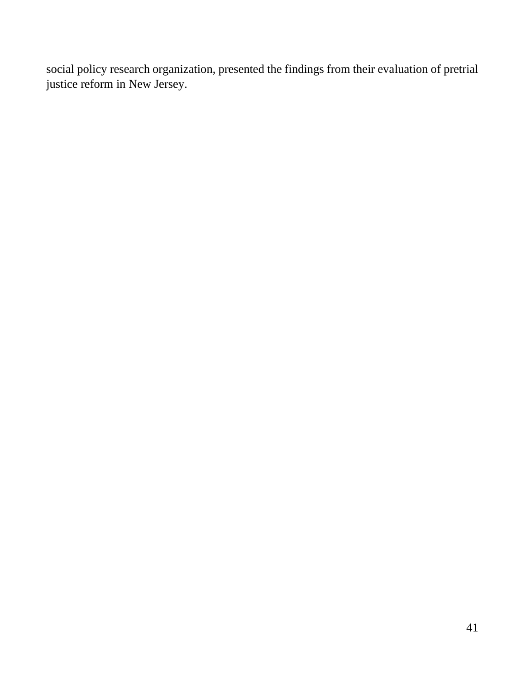social policy research organization, presented the findings from their evaluation of pretrial justice reform in New Jersey.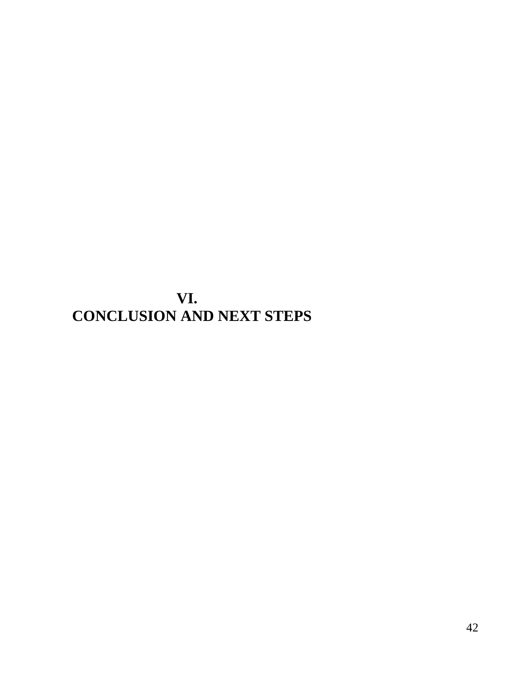<span id="page-42-0"></span>**VI. CONCLUSION AND NEXT STEPS**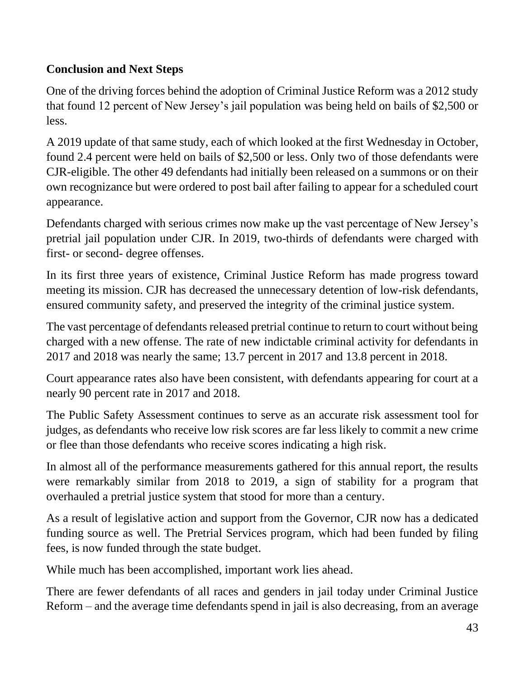## **Conclusion and Next Steps**

One of the driving forces behind the adoption of Criminal Justice Reform was a 2012 study that found 12 percent of New Jersey's jail population was being held on bails of \$2,500 or less.

A 2019 update of that same study, each of which looked at the first Wednesday in October, found 2.4 percent were held on bails of \$2,500 or less. Only two of those defendants were CJR-eligible. The other 49 defendants had initially been released on a summons or on their own recognizance but were ordered to post bail after failing to appear for a scheduled court appearance.

Defendants charged with serious crimes now make up the vast percentage of New Jersey's pretrial jail population under CJR. In 2019, two-thirds of defendants were charged with first- or second- degree offenses.

In its first three years of existence, Criminal Justice Reform has made progress toward meeting its mission. CJR has decreased the unnecessary detention of low-risk defendants, ensured community safety, and preserved the integrity of the criminal justice system.

The vast percentage of defendants released pretrial continue to return to court without being charged with a new offense. The rate of new indictable criminal activity for defendants in 2017 and 2018 was nearly the same; 13.7 percent in 2017 and 13.8 percent in 2018.

Court appearance rates also have been consistent, with defendants appearing for court at a nearly 90 percent rate in 2017 and 2018.

The Public Safety Assessment continues to serve as an accurate risk assessment tool for judges, as defendants who receive low risk scores are far less likely to commit a new crime or flee than those defendants who receive scores indicating a high risk.

In almost all of the performance measurements gathered for this annual report, the results were remarkably similar from 2018 to 2019, a sign of stability for a program that overhauled a pretrial justice system that stood for more than a century.

As a result of legislative action and support from the Governor, CJR now has a dedicated funding source as well. The Pretrial Services program, which had been funded by filing fees, is now funded through the state budget.

While much has been accomplished, important work lies ahead.

There are fewer defendants of all races and genders in jail today under Criminal Justice Reform – and the average time defendants spend in jail is also decreasing, from an average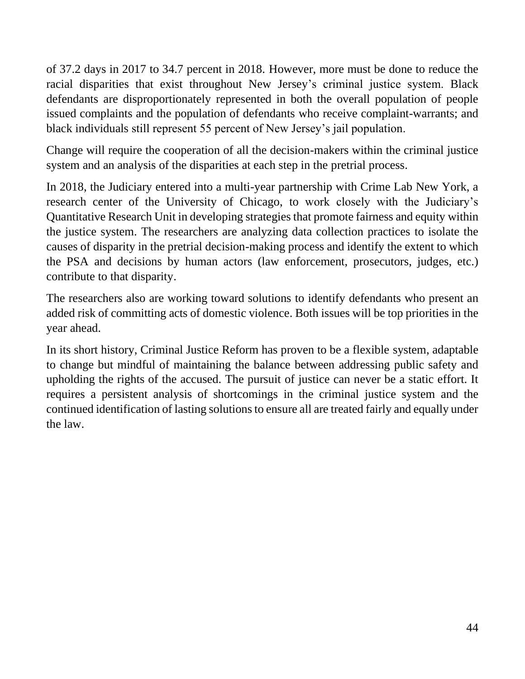of 37.2 days in 2017 to 34.7 percent in 2018. However, more must be done to reduce the racial disparities that exist throughout New Jersey's criminal justice system. Black defendants are disproportionately represented in both the overall population of people issued complaints and the population of defendants who receive complaint-warrants; and black individuals still represent 55 percent of New Jersey's jail population.

Change will require the cooperation of all the decision-makers within the criminal justice system and an analysis of the disparities at each step in the pretrial process.

In 2018, the Judiciary entered into a multi-year partnership with Crime Lab New York, a research center of the University of Chicago, to work closely with the Judiciary's Quantitative Research Unit in developing strategies that promote fairness and equity within the justice system. The researchers are analyzing data collection practices to isolate the causes of disparity in the pretrial decision-making process and identify the extent to which the PSA and decisions by human actors (law enforcement, prosecutors, judges, etc.) contribute to that disparity.

The researchers also are working toward solutions to identify defendants who present an added risk of committing acts of domestic violence. Both issues will be top priorities in the year ahead.

In its short history, Criminal Justice Reform has proven to be a flexible system, adaptable to change but mindful of maintaining the balance between addressing public safety and upholding the rights of the accused. The pursuit of justice can never be a static effort. It requires a persistent analysis of shortcomings in the criminal justice system and the continued identification of lasting solutions to ensure all are treated fairly and equally under the law.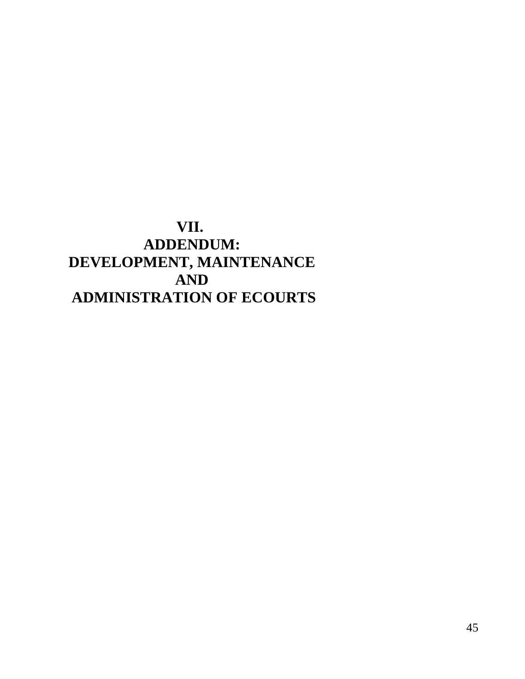## <span id="page-45-0"></span>**VII. ADDENDUM: DEVELOPMENT, MAINTENANCE AND ADMINISTRATION OF ECOURTS**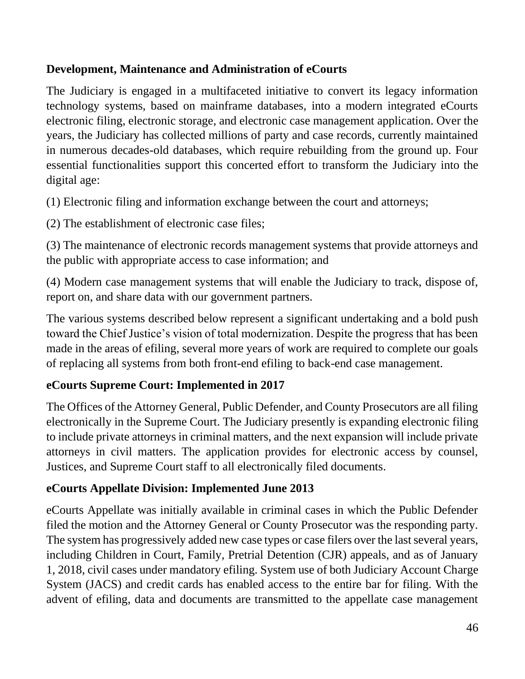### **Development, Maintenance and Administration of eCourts**

The Judiciary is engaged in a multifaceted initiative to convert its legacy information technology systems, based on mainframe databases, into a modern integrated eCourts electronic filing, electronic storage, and electronic case management application. Over the years, the Judiciary has collected millions of party and case records, currently maintained in numerous decades-old databases, which require rebuilding from the ground up. Four essential functionalities support this concerted effort to transform the Judiciary into the digital age:

(1) Electronic filing and information exchange between the court and attorneys;

(2) The establishment of electronic case files;

(3) The maintenance of electronic records management systems that provide attorneys and the public with appropriate access to case information; and

(4) Modern case management systems that will enable the Judiciary to track, dispose of, report on, and share data with our government partners.

The various systems described below represent a significant undertaking and a bold push toward the Chief Justice's vision of total modernization. Despite the progress that has been made in the areas of efiling, several more years of work are required to complete our goals of replacing all systems from both front-end efiling to back-end case management.

### **eCourts Supreme Court: Implemented in 2017**

The Offices of the Attorney General, Public Defender, and County Prosecutors are all filing electronically in the Supreme Court. The Judiciary presently is expanding electronic filing to include private attorneys in criminal matters, and the next expansion will include private attorneys in civil matters. The application provides for electronic access by counsel, Justices, and Supreme Court staff to all electronically filed documents.

### **eCourts Appellate Division: Implemented June 2013**

eCourts Appellate was initially available in criminal cases in which the Public Defender filed the motion and the Attorney General or County Prosecutor was the responding party. The system has progressively added new case types or case filers over the last several years, including Children in Court, Family, Pretrial Detention (CJR) appeals, and as of January 1, 2018, civil cases under mandatory efiling. System use of both Judiciary Account Charge System (JACS) and credit cards has enabled access to the entire bar for filing. With the advent of efiling, data and documents are transmitted to the appellate case management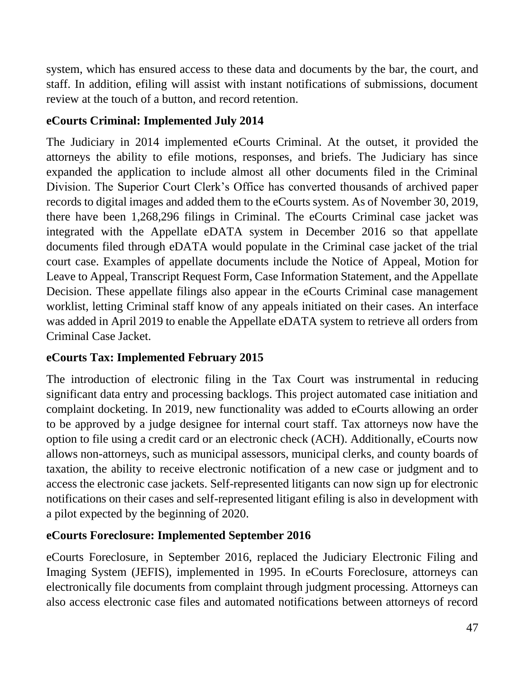system, which has ensured access to these data and documents by the bar, the court, and staff. In addition, efiling will assist with instant notifications of submissions, document review at the touch of a button, and record retention.

## **eCourts Criminal: Implemented July 2014**

The Judiciary in 2014 implemented eCourts Criminal. At the outset, it provided the attorneys the ability to efile motions, responses, and briefs. The Judiciary has since expanded the application to include almost all other documents filed in the Criminal Division. The Superior Court Clerk's Office has converted thousands of archived paper records to digital images and added them to the eCourts system. As of November 30, 2019, there have been 1,268,296 filings in Criminal. The eCourts Criminal case jacket was integrated with the Appellate eDATA system in December 2016 so that appellate documents filed through eDATA would populate in the Criminal case jacket of the trial court case. Examples of appellate documents include the Notice of Appeal, Motion for Leave to Appeal, Transcript Request Form, Case Information Statement, and the Appellate Decision. These appellate filings also appear in the eCourts Criminal case management worklist, letting Criminal staff know of any appeals initiated on their cases. An interface was added in April 2019 to enable the Appellate eDATA system to retrieve all orders from Criminal Case Jacket.

## **eCourts Tax: Implemented February 2015**

The introduction of electronic filing in the Tax Court was instrumental in reducing significant data entry and processing backlogs. This project automated case initiation and complaint docketing. In 2019, new functionality was added to eCourts allowing an order to be approved by a judge designee for internal court staff. Tax attorneys now have the option to file using a credit card or an electronic check (ACH). Additionally, eCourts now allows non-attorneys, such as municipal assessors, municipal clerks, and county boards of taxation, the ability to receive electronic notification of a new case or judgment and to access the electronic case jackets. Self-represented litigants can now sign up for electronic notifications on their cases and self-represented litigant efiling is also in development with a pilot expected by the beginning of 2020.

## **eCourts Foreclosure: Implemented September 2016**

eCourts Foreclosure, in September 2016, replaced the Judiciary Electronic Filing and Imaging System (JEFIS), implemented in 1995. In eCourts Foreclosure, attorneys can electronically file documents from complaint through judgment processing. Attorneys can also access electronic case files and automated notifications between attorneys of record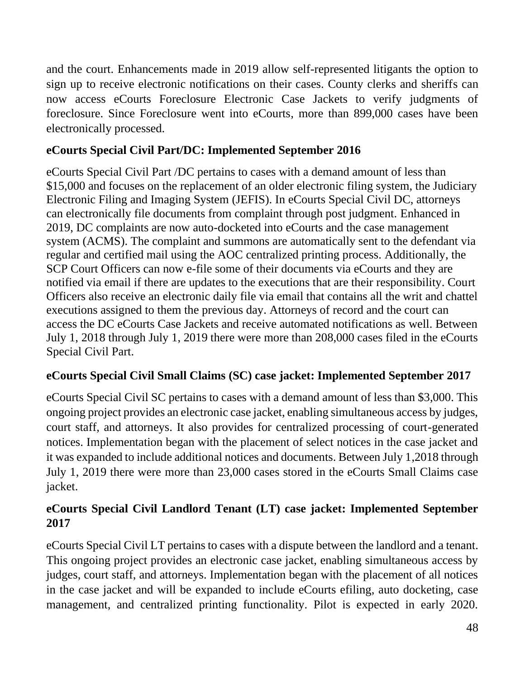and the court. Enhancements made in 2019 allow self-represented litigants the option to sign up to receive electronic notifications on their cases. County clerks and sheriffs can now access eCourts Foreclosure Electronic Case Jackets to verify judgments of foreclosure. Since Foreclosure went into eCourts, more than 899,000 cases have been electronically processed.

## **eCourts Special Civil Part/DC: Implemented September 2016**

eCourts Special Civil Part /DC pertains to cases with a demand amount of less than \$15,000 and focuses on the replacement of an older electronic filing system, the Judiciary Electronic Filing and Imaging System (JEFIS). In eCourts Special Civil DC, attorneys can electronically file documents from complaint through post judgment. Enhanced in 2019, DC complaints are now auto-docketed into eCourts and the case management system (ACMS). The complaint and summons are automatically sent to the defendant via regular and certified mail using the AOC centralized printing process. Additionally, the SCP Court Officers can now e-file some of their documents via eCourts and they are notified via email if there are updates to the executions that are their responsibility. Court Officers also receive an electronic daily file via email that contains all the writ and chattel executions assigned to them the previous day. Attorneys of record and the court can access the DC eCourts Case Jackets and receive automated notifications as well. Between July 1, 2018 through July 1, 2019 there were more than 208,000 cases filed in the eCourts Special Civil Part.

## **eCourts Special Civil Small Claims (SC) case jacket: Implemented September 2017**

eCourts Special Civil SC pertains to cases with a demand amount of less than \$3,000. This ongoing project provides an electronic case jacket, enabling simultaneous access by judges, court staff, and attorneys. It also provides for centralized processing of court-generated notices. Implementation began with the placement of select notices in the case jacket and it was expanded to include additional notices and documents. Between July 1,2018 through July 1, 2019 there were more than 23,000 cases stored in the eCourts Small Claims case jacket.

## **eCourts Special Civil Landlord Tenant (LT) case jacket: Implemented September 2017**

eCourts Special Civil LT pertains to cases with a dispute between the landlord and a tenant. This ongoing project provides an electronic case jacket, enabling simultaneous access by judges, court staff, and attorneys. Implementation began with the placement of all notices in the case jacket and will be expanded to include eCourts efiling, auto docketing, case management, and centralized printing functionality. Pilot is expected in early 2020.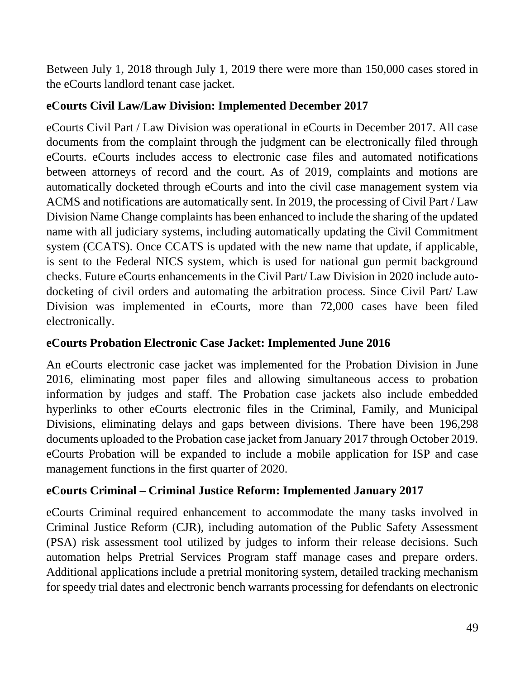Between July 1, 2018 through July 1, 2019 there were more than 150,000 cases stored in the eCourts landlord tenant case jacket.

### **eCourts Civil Law/Law Division: Implemented December 2017**

eCourts Civil Part / Law Division was operational in eCourts in December 2017. All case documents from the complaint through the judgment can be electronically filed through eCourts. eCourts includes access to electronic case files and automated notifications between attorneys of record and the court. As of 2019, complaints and motions are automatically docketed through eCourts and into the civil case management system via ACMS and notifications are automatically sent. In 2019, the processing of Civil Part / Law Division Name Change complaints has been enhanced to include the sharing of the updated name with all judiciary systems, including automatically updating the Civil Commitment system (CCATS). Once CCATS is updated with the new name that update, if applicable, is sent to the Federal NICS system, which is used for national gun permit background checks. Future eCourts enhancements in the Civil Part/ Law Division in 2020 include autodocketing of civil orders and automating the arbitration process. Since Civil Part/ Law Division was implemented in eCourts, more than 72,000 cases have been filed electronically.

### **eCourts Probation Electronic Case Jacket: Implemented June 2016**

An eCourts electronic case jacket was implemented for the Probation Division in June 2016, eliminating most paper files and allowing simultaneous access to probation information by judges and staff. The Probation case jackets also include embedded hyperlinks to other eCourts electronic files in the Criminal, Family, and Municipal Divisions, eliminating delays and gaps between divisions. There have been 196,298 documents uploaded to the Probation case jacket from January 2017 through October 2019. eCourts Probation will be expanded to include a mobile application for ISP and case management functions in the first quarter of 2020.

### **eCourts Criminal – Criminal Justice Reform: Implemented January 2017**

eCourts Criminal required enhancement to accommodate the many tasks involved in Criminal Justice Reform (CJR), including automation of the Public Safety Assessment (PSA) risk assessment tool utilized by judges to inform their release decisions. Such automation helps Pretrial Services Program staff manage cases and prepare orders. Additional applications include a pretrial monitoring system, detailed tracking mechanism for speedy trial dates and electronic bench warrants processing for defendants on electronic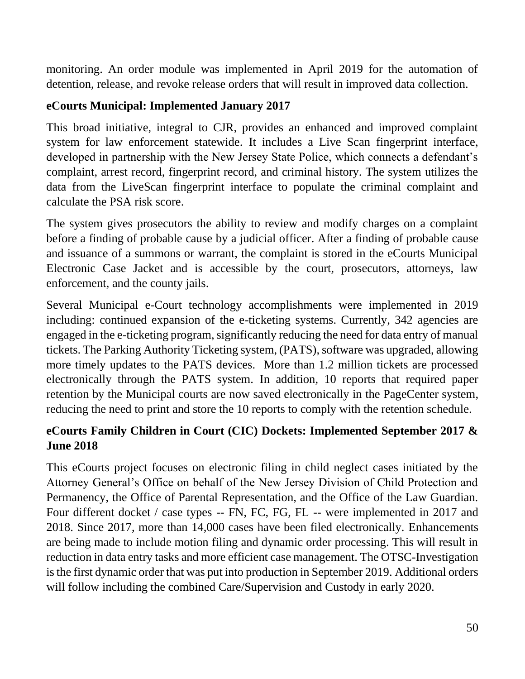monitoring. An order module was implemented in April 2019 for the automation of detention, release, and revoke release orders that will result in improved data collection.

### **eCourts Municipal: Implemented January 2017**

This broad initiative, integral to CJR, provides an enhanced and improved complaint system for law enforcement statewide. It includes a Live Scan fingerprint interface, developed in partnership with the New Jersey State Police, which connects a defendant's complaint, arrest record, fingerprint record, and criminal history. The system utilizes the data from the LiveScan fingerprint interface to populate the criminal complaint and calculate the PSA risk score.

The system gives prosecutors the ability to review and modify charges on a complaint before a finding of probable cause by a judicial officer. After a finding of probable cause and issuance of a summons or warrant, the complaint is stored in the eCourts Municipal Electronic Case Jacket and is accessible by the court, prosecutors, attorneys, law enforcement, and the county jails.

Several Municipal e-Court technology accomplishments were implemented in 2019 including: continued expansion of the e-ticketing systems. Currently, 342 agencies are engaged in the e-ticketing program, significantly reducing the need for data entry of manual tickets. The Parking Authority Ticketing system, (PATS), software was upgraded, allowing more timely updates to the PATS devices. More than 1.2 million tickets are processed electronically through the PATS system. In addition, 10 reports that required paper retention by the Municipal courts are now saved electronically in the PageCenter system, reducing the need to print and store the 10 reports to comply with the retention schedule.

## **eCourts Family Children in Court (CIC) Dockets: Implemented September 2017 & June 2018**

This eCourts project focuses on electronic filing in child neglect cases initiated by the Attorney General's Office on behalf of the New Jersey Division of Child Protection and Permanency, the Office of Parental Representation, and the Office of the Law Guardian. Four different docket / case types -- FN, FC, FG, FL -- were implemented in 2017 and 2018. Since 2017, more than 14,000 cases have been filed electronically. Enhancements are being made to include motion filing and dynamic order processing. This will result in reduction in data entry tasks and more efficient case management. The OTSC-Investigation is the first dynamic order that was put into production in September 2019. Additional orders will follow including the combined Care/Supervision and Custody in early 2020.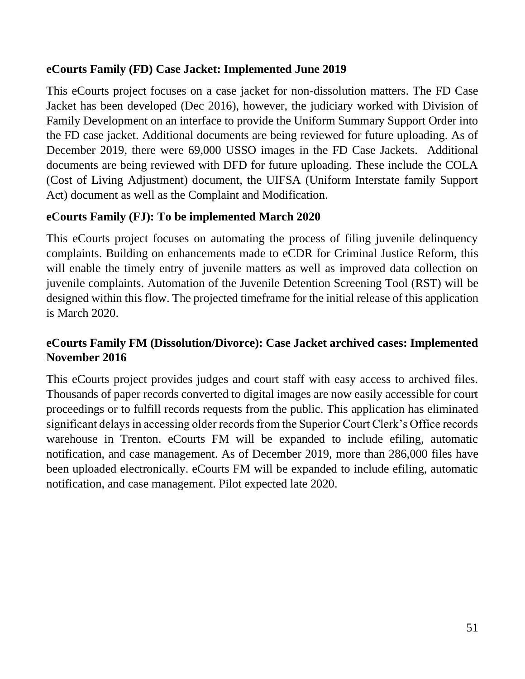### **eCourts Family (FD) Case Jacket: Implemented June 2019**

This eCourts project focuses on a case jacket for non-dissolution matters. The FD Case Jacket has been developed (Dec 2016), however, the judiciary worked with Division of Family Development on an interface to provide the Uniform Summary Support Order into the FD case jacket. Additional documents are being reviewed for future uploading. As of December 2019, there were 69,000 USSO images in the FD Case Jackets. Additional documents are being reviewed with DFD for future uploading. These include the COLA (Cost of Living Adjustment) document, the UIFSA (Uniform Interstate family Support Act) document as well as the Complaint and Modification.

### **eCourts Family (FJ): To be implemented March 2020**

This eCourts project focuses on automating the process of filing juvenile delinquency complaints. Building on enhancements made to eCDR for Criminal Justice Reform, this will enable the timely entry of juvenile matters as well as improved data collection on juvenile complaints. Automation of the Juvenile Detention Screening Tool (RST) will be designed within this flow. The projected timeframe for the initial release of this application is March 2020.

## **eCourts Family FM (Dissolution/Divorce): Case Jacket archived cases: Implemented November 2016**

This eCourts project provides judges and court staff with easy access to archived files. Thousands of paper records converted to digital images are now easily accessible for court proceedings or to fulfill records requests from the public. This application has eliminated significant delays in accessing older records from the Superior Court Clerk's Office records warehouse in Trenton. eCourts FM will be expanded to include efiling, automatic notification, and case management. As of December 2019, more than 286,000 files have been uploaded electronically. eCourts FM will be expanded to include efiling, automatic notification, and case management. Pilot expected late 2020.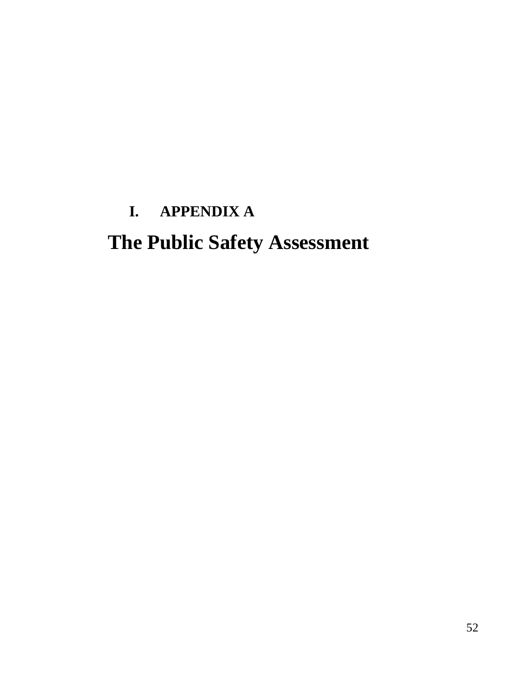# <span id="page-52-0"></span>**I. APPENDIX A The Public Safety Assessment**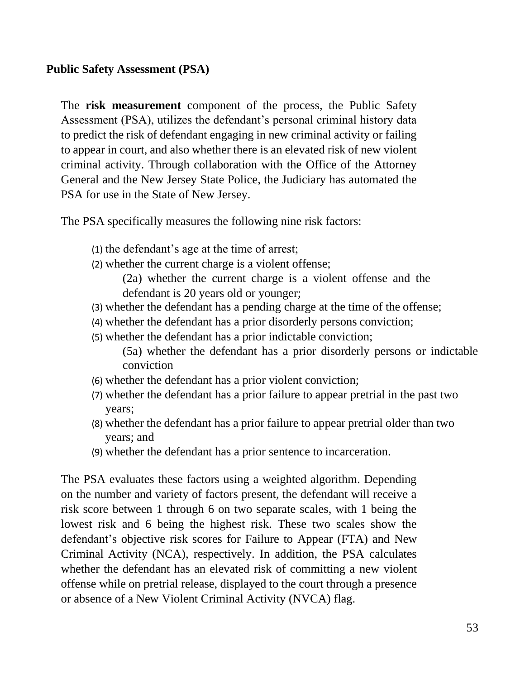#### <span id="page-53-0"></span>**Public Safety Assessment (PSA)**

The **risk measurement** component of the process, the Public Safety Assessment (PSA), utilizes the defendant's personal criminal history data to predict the risk of defendant engaging in new criminal activity or failing to appear in court, and also whether there is an elevated risk of new violent criminal activity. Through collaboration with the Office of the Attorney General and the New Jersey State Police, the Judiciary has automated the PSA for use in the State of New Jersey.

The PSA specifically measures the following nine risk factors:

- (1) the defendant's age at the time of arrest;
- (2) whether the current charge is a violent offense;
	- (2a) whether the current charge is a violent offense and the defendant is 20 years old or younger;
- (3) whether the defendant has a pending charge at the time of the offense;
- (4) whether the defendant has a prior disorderly persons conviction;
- (5) whether the defendant has a prior indictable conviction;
	- (5a) whether the defendant has a prior disorderly persons or indictable conviction
- (6) whether the defendant has a prior violent conviction;
- (7) whether the defendant has a prior failure to appear pretrial in the past two years;
- (8) whether the defendant has a prior failure to appear pretrial older than two years; and
- (9) whether the defendant has a prior sentence to incarceration.

The PSA evaluates these factors using a weighted algorithm. Depending on the number and variety of factors present, the defendant will receive a risk score between 1 through 6 on two separate scales, with 1 being the lowest risk and 6 being the highest risk. These two scales show the defendant's objective risk scores for Failure to Appear (FTA) and New Criminal Activity (NCA), respectively. In addition, the PSA calculates whether the defendant has an elevated risk of committing a new violent offense while on pretrial release, displayed to the court through a presence or absence of a New Violent Criminal Activity (NVCA) flag.